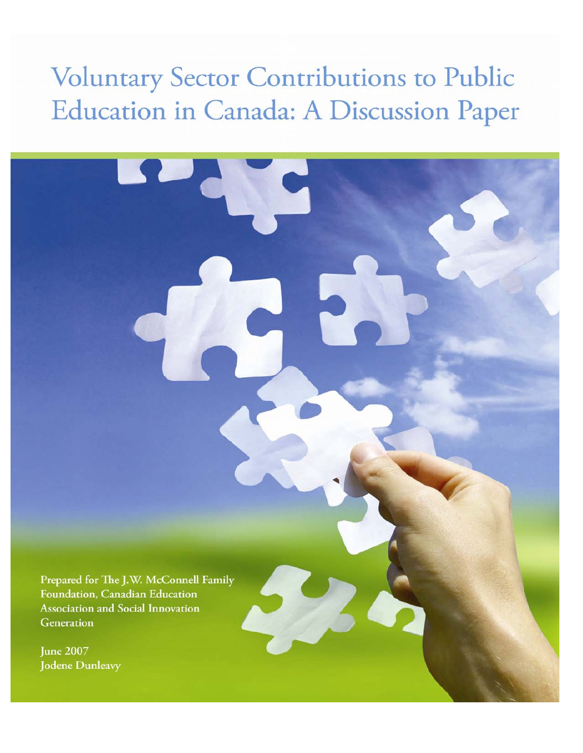# **Voluntary Sector Contributions to Public** Education in Canada: A Discussion Paper

Prepared for The J.W. McConnell Family Foundation, Canadian Education **Association and Social Innovation** Generation

**June 2007 Jodene Dunleavy**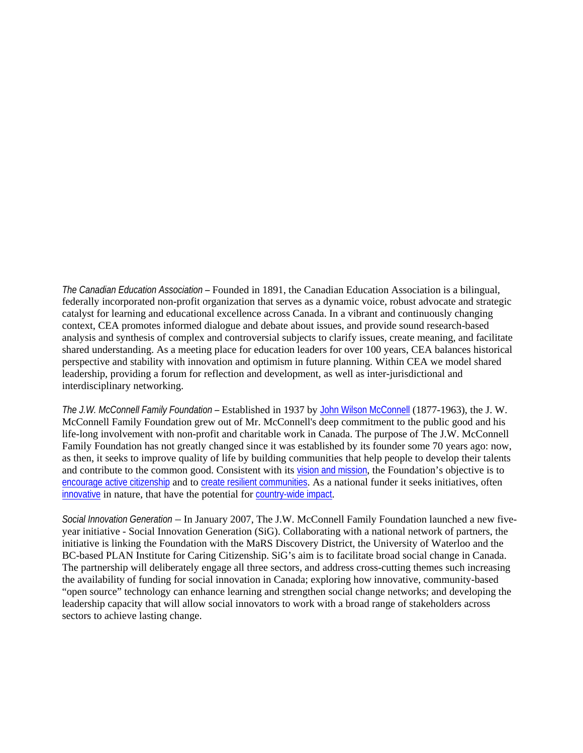*The Canadian Education Association –* Founded in 1891, the Canadian Education Association is a bilingual, federally incorporated non-profit organization that serves as a dynamic voice, robust advocate and strategic catalyst for learning and educational excellence across Canada. In a vibrant and continuously changing context, CEA promotes informed dialogue and debate about issues, and provide sound research-based analysis and synthesis of complex and controversial subjects to clarify issues, create meaning, and facilitate shared understanding. As a meeting place for education leaders for over 100 years, CEA balances historical perspective and stability with innovation and optimism in future planning. Within CEA we model shared leadership, providing a forum for reflection and development, as well as inter-jurisdictional and interdisciplinary networking.

*The J.W. McConnell Family Foundation –* Established in 1937 by [John Wilson McConnell](http://www.mcconnellfoundation.ca/default.aspx?page=78&lang=en-us) (1877-1963), the J. W. McConnell Family Foundation grew out of Mr. McConnell's deep commitment to the public good and his life-long involvement with non-profit and charitable work in Canada. The purpose of The J.W. McConnell Family Foundation has not greatly changed since it was established by its founder some 70 years ago: now, as then, it seeks to improve quality of life by building communities that help people to develop their talents and contribute to the common good. Consistent with its [vision and mission](http://www.mcconnellfoundation.ca/default.aspx?page=77&lang=en-us), the Foundation's objective is to [encourage active citizenship](http://www.mcconnellfoundation.ca/default.aspx?page=155&lang=en-us) and to [create resilient communities](http://www.mcconnellfoundation.ca/default.aspx?page=156&lang=en-us). As a national funder it seeks initiatives, often [innovative](http://www.mcconnellfoundation.ca/default.aspx?page=157&lang=en-us) in nature, that have the potential for [country-wide impact](http://www.mcconnellfoundation.ca/default.aspx?page=159&lang=en-us).

*Social Innovation Generation* – In January 2007, The J.W. McConnell Family Foundation launched a new fiveyear initiative - Social Innovation Generation (SiG). Collaborating with a national network of partners, the initiative is linking the Foundation with the MaRS Discovery District, the University of Waterloo and the BC-based PLAN Institute for Caring Citizenship. SiG's aim is to facilitate broad social change in Canada. The partnership will deliberately engage all three sectors, and address cross-cutting themes such increasing the availability of funding for social innovation in Canada; exploring how innovative, community-based "open source" technology can enhance learning and strengthen social change networks; and developing the leadership capacity that will allow social innovators to work with a broad range of stakeholders across sectors to achieve lasting change.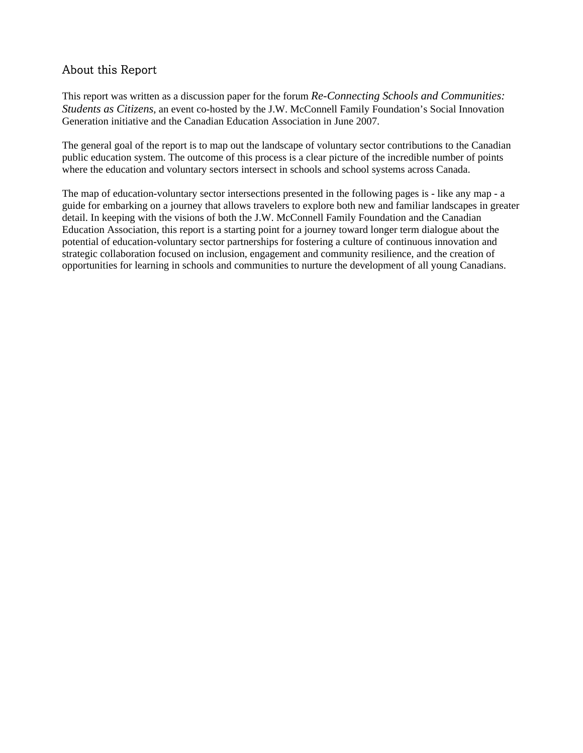# About this Report

This report was written as a discussion paper for the forum *Re-Connecting Schools and Communities: Students as Citizens*, an event co-hosted by the J.W. McConnell Family Foundation's Social Innovation Generation initiative and the Canadian Education Association in June 2007.

The general goal of the report is to map out the landscape of voluntary sector contributions to the Canadian public education system. The outcome of this process is a clear picture of the incredible number of points where the education and voluntary sectors intersect in schools and school systems across Canada.

The map of education-voluntary sector intersections presented in the following pages is - like any map - a guide for embarking on a journey that allows travelers to explore both new and familiar landscapes in greater detail. In keeping with the visions of both the J.W. McConnell Family Foundation and the Canadian Education Association, this report is a starting point for a journey toward longer term dialogue about the potential of education-voluntary sector partnerships for fostering a culture of continuous innovation and strategic collaboration focused on inclusion, engagement and community resilience, and the creation of opportunities for learning in schools and communities to nurture the development of all young Canadians.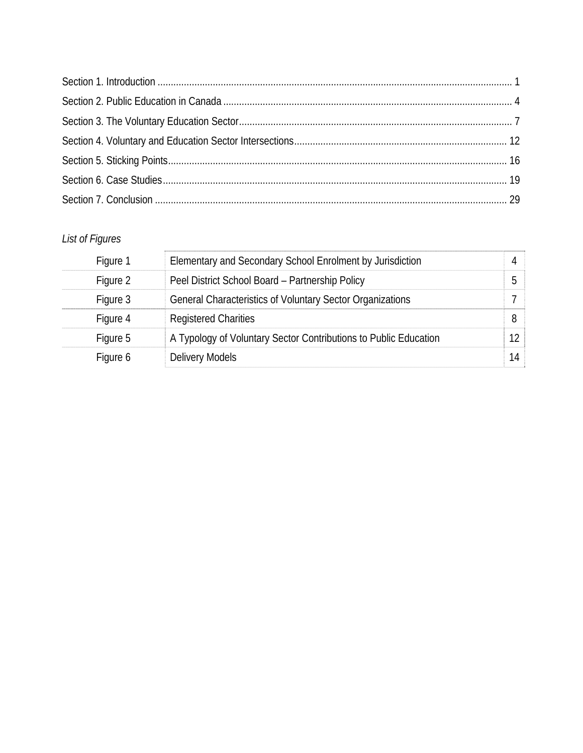# *List of Figures*

| Figure 1 | Elementary and Secondary School Enrolment by Jurisdiction        | Д  |
|----------|------------------------------------------------------------------|----|
| Figure 2 | Peel District School Board - Partnership Policy                  | .5 |
| Figure 3 | General Characteristics of Voluntary Sector Organizations        |    |
| Figure 4 | <b>Registered Charities</b>                                      | 8  |
| Figure 5 | A Typology of Voluntary Sector Contributions to Public Education | 12 |
| Figure 6 | Delivery Models                                                  | 14 |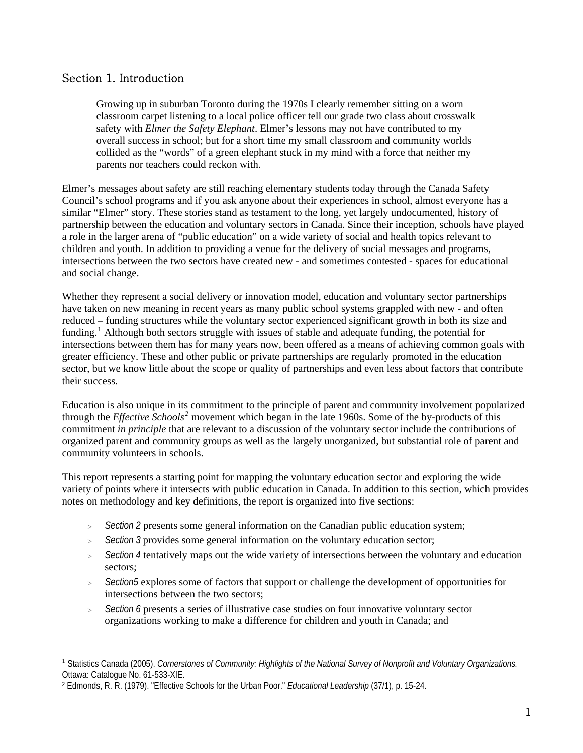# <span id="page-5-0"></span>Section 1. Introduction

Growing up in suburban Toronto during the 1970s I clearly remember sitting on a worn classroom carpet listening to a local police officer tell our grade two class about crosswalk safety with *Elmer the Safety Elephant*. Elmer's lessons may not have contributed to my overall success in school; but for a short time my small classroom and community worlds collided as the "words" of a green elephant stuck in my mind with a force that neither my parents nor teachers could reckon with.

Elmer's messages about safety are still reaching elementary students today through the Canada Safety Council's school programs and if you ask anyone about their experiences in school, almost everyone has a similar "Elmer" story. These stories stand as testament to the long, yet largely undocumented, history of partnership between the education and voluntary sectors in Canada. Since their inception, schools have played a role in the larger arena of "public education" on a wide variety of social and health topics relevant to children and youth. In addition to providing a venue for the delivery of social messages and programs, intersections between the two sectors have created new - and sometimes contested - spaces for educational and social change.

Whether they represent a social delivery or innovation model, education and voluntary sector partnerships have taken on new meaning in recent years as many public school systems grappled with new - and often reduced – funding structures while the voluntary sector experienced significant growth in both its size and funding.<sup>[1](#page-5-1)</sup> Although both sectors struggle with issues of stable and adequate funding, the potential for intersections between them has for many years now, been offered as a means of achieving common goals with greater efficiency. These and other public or private partnerships are regularly promoted in the education sector, but we know little about the scope or quality of partnerships and even less about factors that contribute their success.

Education is also unique in its commitment to the principle of parent and community involvement popularized through the *Effective Schools[2](#page-5-2)* movement which began in the late 1960s. Some of the by-products of this commitment *in principle* that are relevant to a discussion of the voluntary sector include the contributions of organized parent and community groups as well as the largely unorganized, but substantial role of parent and community volunteers in schools.

This report represents a starting point for mapping the voluntary education sector and exploring the wide variety of points where it intersects with public education in Canada. In addition to this section, which provides notes on methodology and key definitions, the report is organized into five sections:

- > *Section 2* presents some general information on the Canadian public education system;
- > *Section 3* provides some general information on the voluntary education sector;
- > *Section 4* tentatively maps out the wide variety of intersections between the voluntary and education sectors;
- > *Section5* explores some of factors that support or challenge the development of opportunities for intersections between the two sectors;
- > *Section 6* presents a series of illustrative case studies on four innovative voluntary sector organizations working to make a difference for children and youth in Canada; and

<span id="page-5-1"></span> $\overline{a}$ <sup>1</sup> Statistics Canada (2005). *Cornerstones of Community: Highlights of the National Survey of Nonprofit and Voluntary Organizations.* Ottawa: Catalogue No. 61-533-XIE.

<span id="page-5-2"></span><sup>2</sup> Edmonds, R. R. (1979). "Effective Schools for the Urban Poor." *Educational Leadership* (37/1), p. 15-24.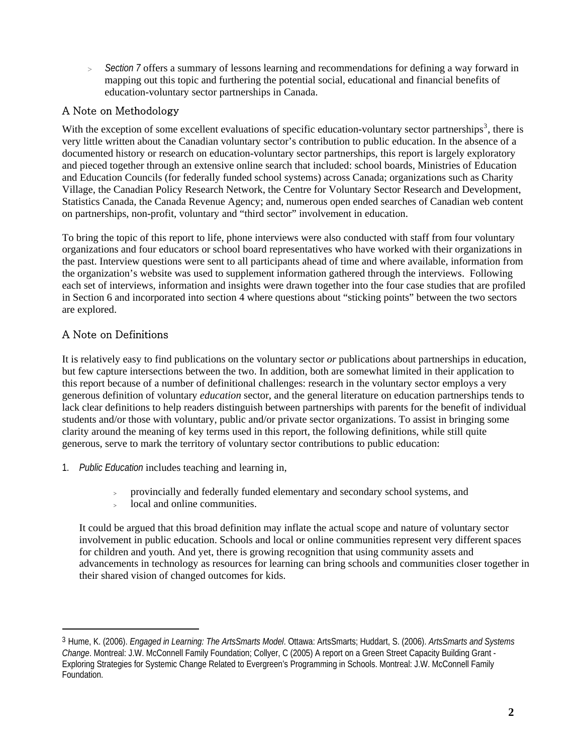> *Section 7* offers a summary of lessons learning and recommendations for defining a way forward in mapping out this topic and furthering the potential social, educational and financial benefits of education-voluntary sector partnerships in Canada.

# A Note on Methodology

With the exception of some excellent evaluations of specific education-voluntary sector partnerships<sup>[3](#page-6-0)</sup>, there is very little written about the Canadian voluntary sector's contribution to public education. In the absence of a documented history or research on education-voluntary sector partnerships, this report is largely exploratory and pieced together through an extensive online search that included: school boards, Ministries of Education and Education Councils (for federally funded school systems) across Canada; organizations such as Charity Village, the Canadian Policy Research Network, the Centre for Voluntary Sector Research and Development, Statistics Canada, the Canada Revenue Agency; and, numerous open ended searches of Canadian web content on partnerships, non-profit, voluntary and "third sector" involvement in education.

To bring the topic of this report to life, phone interviews were also conducted with staff from four voluntary organizations and four educators or school board representatives who have worked with their organizations in the past. Interview questions were sent to all participants ahead of time and where available, information from the organization's website was used to supplement information gathered through the interviews. Following each set of interviews, information and insights were drawn together into the four case studies that are profiled in Section 6 and incorporated into section 4 where questions about "sticking points" between the two sectors are explored.

# A Note on Definitions

 $\overline{a}$ 

It is relatively easy to find publications on the voluntary sector *or* publications about partnerships in education, but few capture intersections between the two. In addition, both are somewhat limited in their application to this report because of a number of definitional challenges: research in the voluntary sector employs a very generous definition of voluntary *education* sector, and the general literature on education partnerships tends to lack clear definitions to help readers distinguish between partnerships with parents for the benefit of individual students and/or those with voluntary, public and/or private sector organizations. To assist in bringing some clarity around the meaning of key terms used in this report, the following definitions, while still quite generous, serve to mark the territory of voluntary sector contributions to public education:

- 1. *Public Education* includes teaching and learning in,
	- <sup>&</sup>gt; provincially and federally funded elementary and secondary school systems, and
	- $\geq$  local and online communities.

It could be argued that this broad definition may inflate the actual scope and nature of voluntary sector involvement in public education. Schools and local or online communities represent very different spaces for children and youth. And yet, there is growing recognition that using community assets and advancements in technology as resources for learning can bring schools and communities closer together in their shared vision of changed outcomes for kids.

<span id="page-6-0"></span><sup>3</sup> Hume, K. (2006). *Engaged in Learning: The ArtsSmarts Model*. Ottawa: ArtsSmarts; Huddart, S. (2006). *ArtsSmarts and Systems Change*. Montreal: J.W. McConnell Family Foundation; Collyer, C (2005) A report on a Green Street Capacity Building Grant - Exploring Strategies for Systemic Change Related to Evergreen's Programming in Schools. Montreal: J.W. McConnell Family Foundation.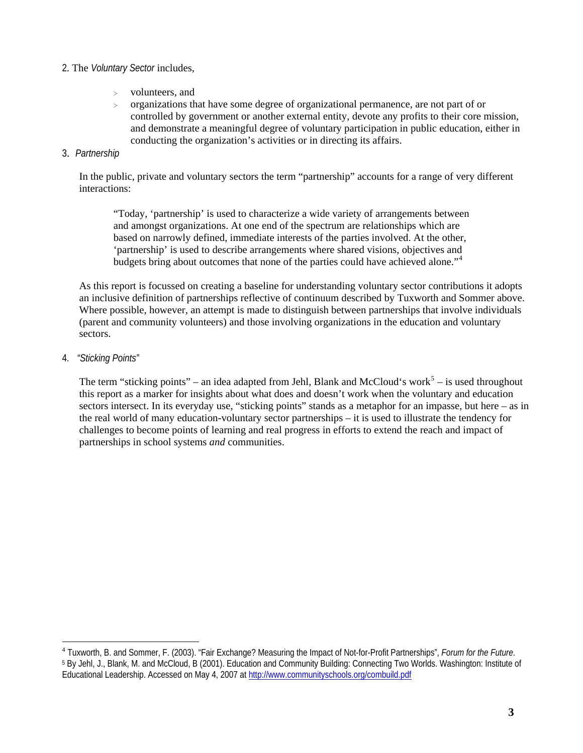#### 2. The *Voluntary Sector* includes,

- volunteers, and
- > organizations that have some degree of organizational permanence, are not part of or controlled by government or another external entity, devote any profits to their core mission, and demonstrate a meaningful degree of voluntary participation in public education, either in conducting the organization's activities or in directing its affairs.

#### 3. *Partnership*

In the public, private and voluntary sectors the term "partnership" accounts for a range of very different interactions:

"Today, 'partnership' is used to characterize a wide variety of arrangements between and amongst organizations. At one end of the spectrum are relationships which are based on narrowly defined, immediate interests of the parties involved. At the other, 'partnership' is used to describe arrangements where shared visions, objectives and budgets bring about outcomes that none of the parties could have achieved alone."[4](#page-7-0)

As this report is focussed on creating a baseline for understanding voluntary sector contributions it adopts an inclusive definition of partnerships reflective of continuum described by Tuxworth and Sommer above. Where possible, however, an attempt is made to distinguish between partnerships that involve individuals (parent and community volunteers) and those involving organizations in the education and voluntary sectors.

#### 4. *"Sticking Points"*

 $\overline{a}$ 

The term "sticking points" – an idea adapted from Jehl, Blank and McCloud's work<sup>[5](#page-7-1)</sup> – is used throughout this report as a marker for insights about what does and doesn't work when the voluntary and education sectors intersect. In its everyday use, "sticking points" stands as a metaphor for an impasse, but here – as in the real world of many education-voluntary sector partnerships – it is used to illustrate the tendency for challenges to become points of learning and real progress in efforts to extend the reach and impact of partnerships in school systems *and* communities.

<span id="page-7-1"></span><span id="page-7-0"></span><sup>&</sup>lt;sup>4</sup> Tuxworth, B. and Sommer, F. (2003). "Fair Exchange? Measuring the Impact of Not-for-Profit Partnerships", Forum for the Future.<br><sup>5</sup> By Jehl, J., Blank, M. and McCloud, B (2001). Education and Community Building: Connec Educational Leadership. Accessed on May 4, 2007 at<http://www.communityschools.org/combuild.pdf>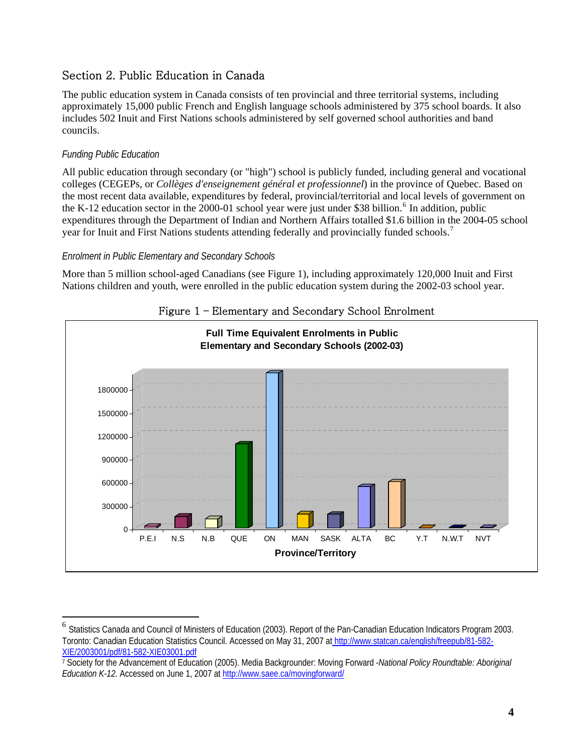# <span id="page-8-0"></span>Section 2. Public Education in Canada

The public education system in Canada consists of ten provincial and three territorial systems, including approximately 15,000 public French and English language schools administered by 375 school boards. It also includes 502 Inuit and First Nations schools administered by self governed school authorities and band councils.

## *Funding Public Education*

 $\overline{a}$ 

All public education through secondary (or "high") school is publicly funded, including general and vocational colleges (CEGEPs, or *Collèges d'enseignement général et professionnel*) in the province of Quebec. Based on the most recent data available, expenditures by federal, provincial/territorial and local levels of government on the K-12 education sector in the  $2000-01$  school year were just under \$38 billion.<sup>[6](#page-8-1)</sup> In addition, public expenditures through the Department of Indian and Northern Affairs totalled \$1.6 billion in the 2004-05 school year for Inuit and First Nations students attending federally and provincially funded schools.<sup>[7](#page-8-2)</sup>

## *Enrolment in Public Elementary and Secondary Schools*

More than 5 million school-aged Canadians (see Figure 1), including approximately 120,000 Inuit and First Nations children and youth, were enrolled in the public education system during the 2002-03 school year.





<span id="page-8-1"></span><sup>6</sup> Statistics Canada and Council of Ministers of Education (2003). Report of the Pan-Canadian Education Indicators Program 2003. Toronto: Canadian Education Statistics Council. Accessed on May 31, 2007 at http://www.statcan.ca/english/freepub/81-582- XIE/2003001/pdf/81-582-XIE03001.pdf

<span id="page-8-2"></span><sup>7</sup> Society for the Advancement of Education (2005). Media Backgrounder: Moving Forward -*National Policy Roundtable: Aboriginal Education K-12.* Accessed on June 1, 2007 at <http://www.saee.ca/movingforward/>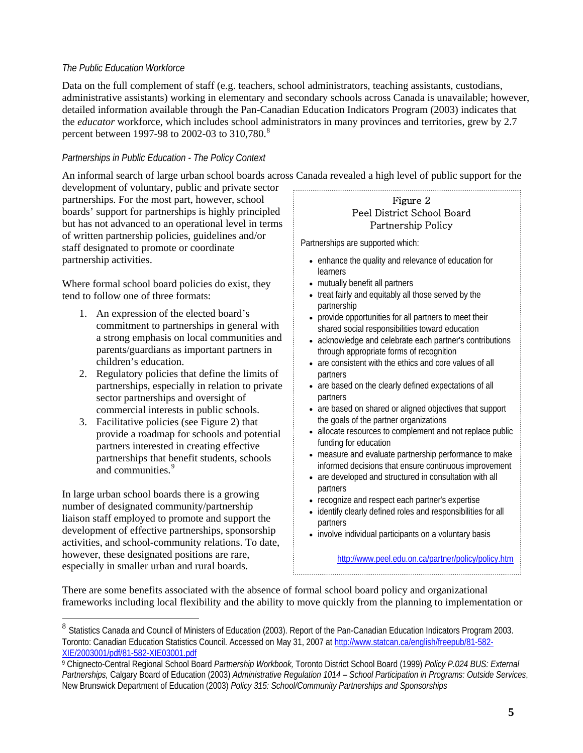#### *The Public Education Workforce*

Data on the full complement of staff (e.g. teachers, school administrators, teaching assistants, custodians, administrative assistants) working in elementary and secondary schools across Canada is unavailable; however, detailed information available through the Pan-Canadian Education Indicators Program (2003) indicates that the *educator* workforce, which includes school administrators in many provinces and territories, grew by 2.7 percent between 1997-9[8](#page-9-0) to 2002-03 to 310,780.<sup>8</sup>

#### *Partnerships in Public Education - The Policy Context*

An informal search of large urban school boards across Canada revealed a high level of public support for the

development of voluntary, public and private sector partnerships. For the most part, however, school boards' support for partnerships is highly principled but has not advanced to an operational level in terms of written partnership policies, guidelines and/or staff designated to promote or coordinate partnership activities.

Where formal school board policies do exist, they tend to follow one of three formats:

- 1. An expression of the elected board's commitment to partnerships in general with a strong emphasis on local communities and parents/guardians as important partners in children's education.
- 2. Regulatory policies that define the limits of partnerships, especially in relation to private sector partnerships and oversight of commercial interests in public schools.
- 3. Facilitative policies (see Figure 2) that provide a roadmap for schools and potential partners interested in creating effective partnerships that benefit students, schools and communities.<sup>[9](#page-9-1)</sup>

In large urban school boards there is a growing number of designated community/partnership liaison staff employed to promote and support the development of effective partnerships, sponsorship activities, and school-community relations. To date, however, these designated positions are rare, especially in smaller urban and rural boards.

 $\overline{a}$ 

#### Figure 2 Peel District School Board Partnership Policy

Partnerships are supported which:

- enhance the quality and relevance of education for learners
- mutually benefit all partners
- treat fairly and equitably all those served by the partnership
- provide opportunities for all partners to meet their shared social responsibilities toward education
- acknowledge and celebrate each partner's contributions through appropriate forms of recognition
- are consistent with the ethics and core values of all partners
- are based on the clearly defined expectations of all partners
- are based on shared or aligned objectives that support the goals of the partner organizations
- allocate resources to complement and not replace public funding for education
- measure and evaluate partnership performance to make informed decisions that ensure continuous improvement
- are developed and structured in consultation with all partners
- recognize and respect each partner's expertise
- identify clearly defined roles and responsibilities for all partners
- involve individual participants on a voluntary basis

<http://www.peel.edu.on.ca/partner/policy/policy.htm>

There are some benefits associated with the absence of formal school board policy and organizational frameworks including local flexibility and the ability to move quickly from the planning to implementation or

<span id="page-9-0"></span><sup>&</sup>lt;sup>8</sup> Statistics Canada and Council of Ministers of Education (2003). Report of the Pan-Canadian Education Indicators Program 2003. Toronto: Canadian Education Statistics Council. Accessed on May 31, 2007 at http://www.statcan.ca/english/freepub/81-582- XIE/2003001/pdf/81-582-XIE03001.pdf

<span id="page-9-1"></span><sup>9</sup> Chignecto-Central Regional School Board *Partnership Workbook,* Toronto District School Board (1999) *Policy P.024 BUS: External Partnerships,* Calgary Board of Education (2003) *Administrative Regulation 1014 – School Participation in Programs: Outside Services*, New Brunswick Department of Education (2003) *Policy 315: School/Community Partnerships and Sponsorships*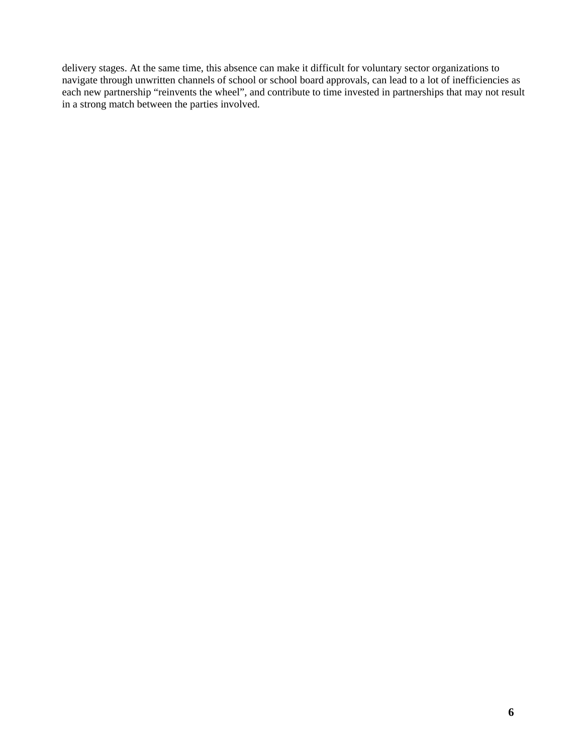delivery stages. At the same time, this absence can make it difficult for voluntary sector organizations to navigate through unwritten channels of school or school board approvals, can lead to a lot of inefficiencies as each new partnership "reinvents the wheel", and contribute to time invested in partnerships that may not result in a strong match between the parties involved.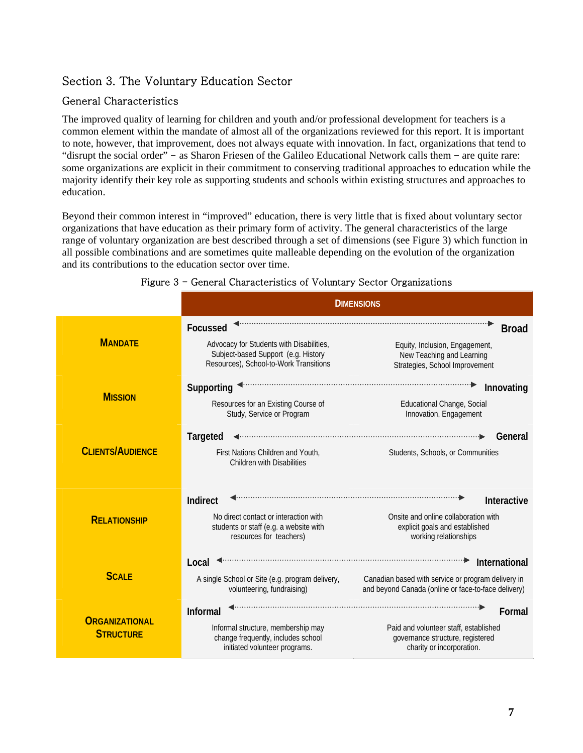# <span id="page-11-0"></span>Section 3. The Voluntary Education Sector

# General Characteristics

The improved quality of learning for children and youth and/or professional development for teachers is a common element within the mandate of almost all of the organizations reviewed for this report. It is important to note, however, that improvement, does not always equate with innovation. In fact, organizations that tend to "disrupt the social order" - as Sharon Friesen of the Galileo Educational Network calls them - are quite rare: some organizations are explicit in their commitment to conserving traditional approaches to education while the majority identify their key role as supporting students and schools within existing structures and approaches to education.

Beyond their common interest in "improved" education, there is very little that is fixed about voluntary sector organizations that have education as their primary form of activity. The general characteristics of the large range of voluntary organization are best described through a set of dimensions (see Figure 3) which function in all possible combinations and are sometimes quite malleable depending on the evolution of the organization and its contributions to the education sector over time.

|                                           | <b>DIMENSIONS</b>                                                                                                                     |                                                                                                                            |
|-------------------------------------------|---------------------------------------------------------------------------------------------------------------------------------------|----------------------------------------------------------------------------------------------------------------------------|
| <b>MANDATE</b>                            | Focussed<br>Advocacy for Students with Disabilities,<br>Subject-based Support (e.g. History<br>Resources), School-to-Work Transitions | <b>Broad</b><br>Equity, Inclusion, Engagement,<br>New Teaching and Learning<br>Strategies, School Improvement              |
| <b>MISSION</b>                            | Supporting<br>Resources for an Existing Course of<br>Study, Service or Program                                                        | Innovating<br>Educational Change, Social<br>Innovation, Engagement                                                         |
| <b>CLIENTS/AUDIENCE</b>                   | <b>Targeted</b><br>First Nations Children and Youth.<br><b>Children with Disabilities</b>                                             | General<br>Students, Schools, or Communities                                                                               |
| <b>RELATIONSHIP</b>                       | Indirect<br>No direct contact or interaction with<br>students or staff (e.g. a website with<br>resources for teachers)                | Interactive<br>Onsite and online collaboration with<br>explicit goals and established<br>working relationships             |
| <b>SCALE</b>                              | Local<br>A single School or Site (e.g. program delivery,<br>volunteering, fundraising)                                                | International<br>Canadian based with service or program delivery in<br>and beyond Canada (online or face-to-face delivery) |
| <b>ORGANIZATIONAL</b><br><b>STRUCTURE</b> | <b>Informal</b><br>Informal structure, membership may<br>change frequently, includes school<br>initiated volunteer programs.          | Formal<br>Paid and volunteer staff, established<br>governance structure, registered<br>charity or incorporation.           |

#### Figure 3 - General Characteristics of Voluntary Sector Organizations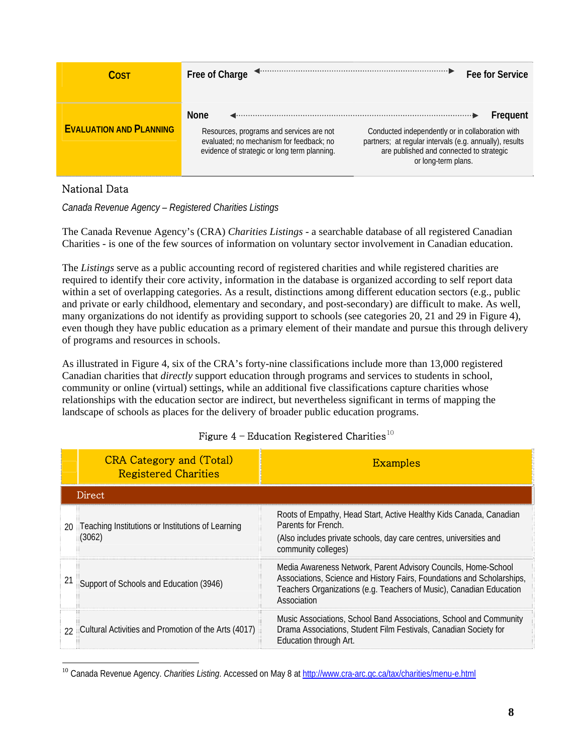| Cost                           | Free of Charge                                                                                                                                      | Fee for Service                                                                                                                                                                            |
|--------------------------------|-----------------------------------------------------------------------------------------------------------------------------------------------------|--------------------------------------------------------------------------------------------------------------------------------------------------------------------------------------------|
| <b>EVALUATION AND PLANNING</b> | <b>None</b><br>Resources, programs and services are not<br>evaluated; no mechanism for feedback; no<br>evidence of strategic or long term planning. | Frequent<br>Conducted independently or in collaboration with<br>partners; at regular intervals (e.g. annually), results<br>are published and connected to strategic<br>or long-term plans. |

## National Data

 $\overline{a}$ 

*Canada Revenue Agency – Registered Charities Listings* 

The Canada Revenue Agency's (CRA) *Charities Listings* - a searchable database of all registered Canadian Charities - is one of the few sources of information on voluntary sector involvement in Canadian education.

The *Listings* serve as a public accounting record of registered charities and while registered charities are required to identify their core activity, information in the database is organized according to self report data within a set of overlapping categories. As a result, distinctions among different education sectors (e.g., public and private or early childhood, elementary and secondary, and post-secondary) are difficult to make. As well, many organizations do not identify as providing support to schools (see categories 20, 21 and 29 in Figure 4), even though they have public education as a primary element of their mandate and pursue this through delivery of programs and resources in schools.

As illustrated in Figure 4, six of the CRA's forty-nine classifications include more than 13,000 registered Canadian charities that *directly* support education through programs and services to students in school, community or online (virtual) settings, while an additional five classifications capture charities whose relationships with the education sector are indirect, but nevertheless significant in terms of mapping the landscape of schools as places for the delivery of broader public education programs.

|    | <b>CRA Category and (Total)</b><br><b>Registered Charities</b> | <b>Examples</b>                                                                                                                                                                                                                |
|----|----------------------------------------------------------------|--------------------------------------------------------------------------------------------------------------------------------------------------------------------------------------------------------------------------------|
|    | <b>Direct</b>                                                  |                                                                                                                                                                                                                                |
| 20 | Teaching Institutions or Institutions of Learning<br>(3062)    | Roots of Empathy, Head Start, Active Healthy Kids Canada, Canadian<br>Parents for French.<br>(Also includes private schools, day care centres, universities and<br>community colleges)                                         |
|    | Support of Schools and Education (3946)                        | Media Awareness Network, Parent Advisory Councils, Home-School<br>Associations, Science and History Fairs, Foundations and Scholarships,<br>Teachers Organizations (e.g. Teachers of Music), Canadian Education<br>Association |
| 22 | Cultural Activities and Promotion of the Arts (4017)           | Music Associations, School Band Associations, School and Community<br>Drama Associations, Student Film Festivals, Canadian Society for<br>Education through Art.                                                               |

## Figure  $4$  – Education Registered Charities<sup>[10](#page-12-0)</sup>

<span id="page-12-0"></span><sup>10</sup> Canada Revenue Agency. *Charities Listing*. Accessed on May 8 at<http://www.cra-arc.gc.ca/tax/charities/menu-e.html>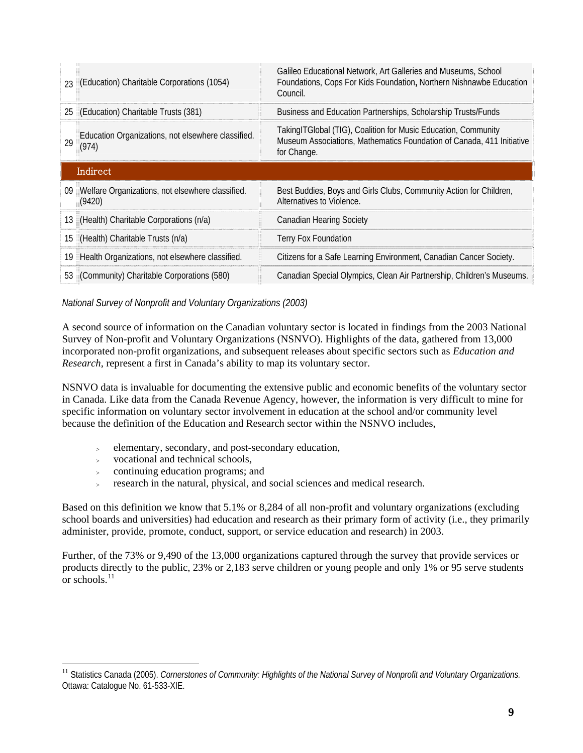| 23 | (Education) Charitable Corporations (1054)                  | Galileo Educational Network, Art Galleries and Museums, School<br>Foundations, Cops For Kids Foundation, Northern Nishnawbe Education<br>Council.      |
|----|-------------------------------------------------------------|--------------------------------------------------------------------------------------------------------------------------------------------------------|
|    | 25 (Education) Charitable Trusts (381)                      | Business and Education Partnerships, Scholarship Trusts/Funds                                                                                          |
| 29 | Education Organizations, not elsewhere classified.<br>(974) | TakingITGlobal (TIG), Coalition for Music Education, Community<br>Museum Associations, Mathematics Foundation of Canada, 411 Initiative<br>for Change. |
|    | Indirect                                                    |                                                                                                                                                        |
|    |                                                             |                                                                                                                                                        |
| 09 | Welfare Organizations, not elsewhere classified.<br>(9420)  | Best Buddies, Boys and Girls Clubs, Community Action for Children,<br>Alternatives to Violence.                                                        |
|    | 13 (Health) Charitable Corporations (n/a)                   | Canadian Hearing Society                                                                                                                               |
|    | 15 (Health) Charitable Trusts (n/a)                         | <b>Terry Fox Foundation</b>                                                                                                                            |
| 19 | Health Organizations, not elsewhere classified.             | Citizens for a Safe Learning Environment, Canadian Cancer Society.                                                                                     |

*National Survey of Nonprofit and Voluntary Organizations (2003)* 

A second source of information on the Canadian voluntary sector is located in findings from the 2003 National Survey of Non-profit and Voluntary Organizations (NSNVO). Highlights of the data, gathered from 13,000 incorporated non-profit organizations, and subsequent releases about specific sectors such as *Education and Research*, represent a first in Canada's ability to map its voluntary sector.

NSNVO data is invaluable for documenting the extensive public and economic benefits of the voluntary sector in Canada. Like data from the Canada Revenue Agency, however, the information is very difficult to mine for specific information on voluntary sector involvement in education at the school and/or community level because the definition of the Education and Research sector within the NSNVO includes,

- <sup>&</sup>gt; elementary, secondary, and post-secondary education,
- <sup>&</sup>gt; vocational and technical schools,

 $\overline{a}$ 

- <sup>&</sup>gt; continuing education programs; and
- research in the natural, physical, and social sciences and medical research.

Based on this definition we know that 5.1% or 8,284 of all non-profit and voluntary organizations (excluding school boards and universities) had education and research as their primary form of activity (i.e., they primarily administer, provide, promote, conduct, support, or service education and research) in 2003.

Further, of the 73% or 9,490 of the 13,000 organizations captured through the survey that provide services or products directly to the public, 23% or 2,183 serve children or young people and only 1% or 95 serve students  $\alpha$  schools.<sup>[11](#page-13-0)</sup>

<span id="page-13-0"></span><sup>&</sup>lt;sup>11</sup> Statistics Canada (2005). *Cornerstones of Community: Highlights of the National Survey of Nonprofit and Voluntary Organizations.* Ottawa: Catalogue No. 61-533-XIE.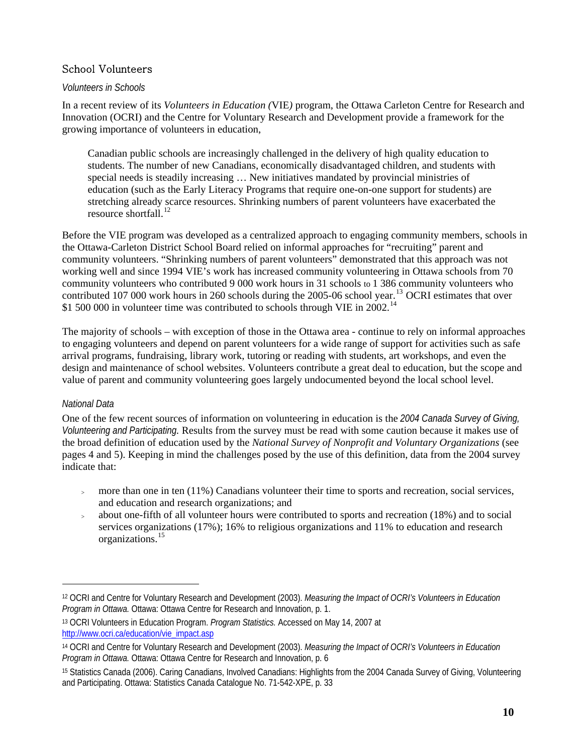## School Volunteers

#### *Volunteers in Schools*

In a recent review of its *Volunteers in Education (*VIE*)* program, the Ottawa Carleton Centre for Research and Innovation (OCRI) and the Centre for Voluntary Research and Development provide a framework for the growing importance of volunteers in education,

Canadian public schools are increasingly challenged in the delivery of high quality education to students. The number of new Canadians, economically disadvantaged children, and students with special needs is steadily increasing … New initiatives mandated by provincial ministries of education (such as the Early Literacy Programs that require one-on-one support for students) are stretching already scarce resources. Shrinking numbers of parent volunteers have exacerbated the resource shortfall.<sup>[12](#page-14-0)</sup>

Before the VIE program was developed as a centralized approach to engaging community members, schools in the Ottawa-Carleton District School Board relied on informal approaches for "recruiting" parent and community volunteers. "Shrinking numbers of parent volunteers" demonstrated that this approach was not working well and since 1994 VIE's work has increased community volunteering in Ottawa schools from 70 community volunteers who contributed 9 000 work hours in 31 schools to 1 386 community volunteers who contributed 107 000 work hours in 260 schools during the 2005-06 school year.<sup>[13](#page-14-1)</sup> OCRI estimates that over \$1 500 000 in volunteer time was contributed to schools through VIE in 2002.<sup>[14](#page-14-2)</sup>

The majority of schools – with exception of those in the Ottawa area - continue to rely on informal approaches to engaging volunteers and depend on parent volunteers for a wide range of support for activities such as safe arrival programs, fundraising, library work, tutoring or reading with students, art workshops, and even the design and maintenance of school websites. Volunteers contribute a great deal to education, but the scope and value of parent and community volunteering goes largely undocumented beyond the local school level.

#### *National Data*

 $\overline{a}$ 

One of the few recent sources of information on volunteering in education is the *[2004 Canada Survey of Giving,](http://www.givingandvolunteering.ca/pdf/CSGVP_Highlights_2004_en.pdf)  [Volunteering and Participating](http://www.givingandvolunteering.ca/pdf/CSGVP_Highlights_2004_en.pdf).* Results from the survey must be read with some caution because it makes use of the broad definition of education used by the *National Survey of Nonprofit and Voluntary Organizations* (see pages 4 and 5). Keeping in mind the challenges posed by the use of this definition, data from the 2004 survey indicate that:

- more than one in ten  $(11%)$  Canadians volunteer their time to sports and recreation, social services, and education and research organizations; and
- <sup>&</sup>gt; about one-fifth of all volunteer hours were contributed to sports and recreation (18%) and to social services organizations (17%); 16% to religious organizations and 11% to education and research organizations.[15](#page-14-3)

<span id="page-14-0"></span><sup>12</sup> OCRI and Centre for Voluntary Research and Development (2003). *Measuring the Impact of OCRI's Volunteers in Education Program in Ottawa.* Ottawa: Ottawa Centre for Research and Innovation, p. 1.

<span id="page-14-1"></span><sup>13</sup> OCRI Volunteers in Education Program. *Program Statistics.* Accessed on May 14, 2007 at [http://www.ocri.ca/education/vie\\_impact.asp](http://www.ocri.ca/education/vie_impact.asp)

<span id="page-14-2"></span><sup>14</sup> OCRI and Centre for Voluntary Research and Development (2003). *Measuring the Impact of OCRI's Volunteers in Education Program in Ottawa.* Ottawa: Ottawa Centre for Research and Innovation, p. 6

<span id="page-14-3"></span><sup>15</sup> Statistics Canada (2006). Caring Canadians, Involved Canadians: Highlights from the 2004 Canada Survey of Giving, Volunteering and Participating. Ottawa: Statistics Canada Catalogue No. 71-542-XPE, p. 33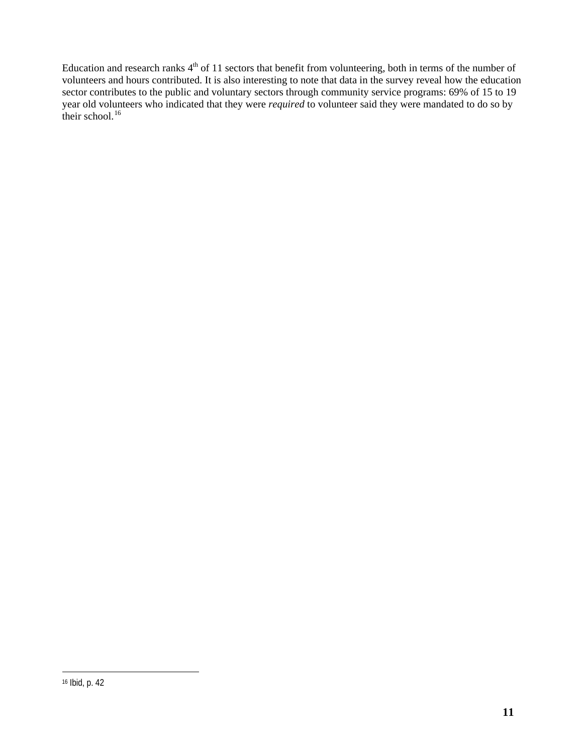Education and research ranks  $4<sup>th</sup>$  of 11 sectors that benefit from volunteering, both in terms of the number of volunteers and hours contributed. It is also interesting to note that data in the survey reveal how the education sector contributes to the public and voluntary sectors through community service programs: 69% of 15 to 19 year old volunteers who indicated that they were *required* to volunteer said they were mandated to do so by their school. $16$ 

<span id="page-15-0"></span> $\overline{a}$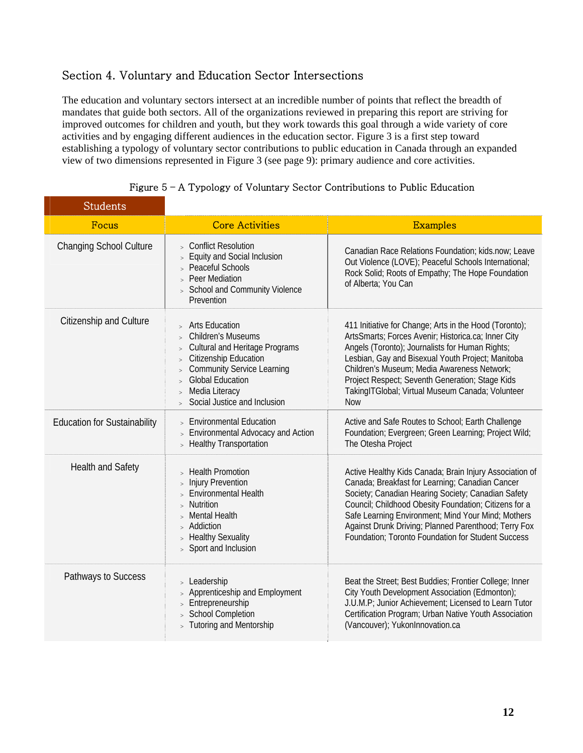# <span id="page-16-0"></span>Section 4. Voluntary and Education Sector Intersections

The education and voluntary sectors intersect at an incredible number of points that reflect the breadth of mandates that guide both sectors. All of the organizations reviewed in preparing this report are striving for improved outcomes for children and youth, but they work towards this goal through a wide variety of core activities and by engaging different audiences in the education sector. Figure 3 is a first step toward establishing a typology of voluntary sector contributions to public education in Canada through an expanded view of two dimensions represented in Figure 3 (see page 9): primary audience and core activities.

| <b>Students</b>                     |                                                                                                                                                                                                                                                                 |                                                                                                                                                                                                                                                                                                                                                                                               |
|-------------------------------------|-----------------------------------------------------------------------------------------------------------------------------------------------------------------------------------------------------------------------------------------------------------------|-----------------------------------------------------------------------------------------------------------------------------------------------------------------------------------------------------------------------------------------------------------------------------------------------------------------------------------------------------------------------------------------------|
| Focus                               | <b>Core Activities</b>                                                                                                                                                                                                                                          | <b>Examples</b>                                                                                                                                                                                                                                                                                                                                                                               |
| <b>Changing School Culture</b>      | > Conflict Resolution<br>> Equity and Social Inclusion<br>> Peaceful Schools<br>> Peer Mediation<br><b>School and Community Violence</b><br>Prevention                                                                                                          | Canadian Race Relations Foundation; kids.now; Leave<br>Out Violence (LOVE); Peaceful Schools International;<br>Rock Solid; Roots of Empathy; The Hope Foundation<br>of Alberta; You Can                                                                                                                                                                                                       |
| Citizenship and Culture             | > Arts Education<br><b>Children's Museums</b><br><b>Cultural and Heritage Programs</b><br>Citizenship Education<br>$\, >$<br><b>Community Service Learning</b><br><b>Global Education</b><br>$\geq$<br>Media Literacy<br>$\geq$<br>Social Justice and Inclusion | 411 Initiative for Change; Arts in the Hood (Toronto);<br>ArtsSmarts; Forces Avenir; Historica.ca; Inner City<br>Angels (Toronto); Journalists for Human Rights;<br>Lesbian, Gay and Bisexual Youth Project; Manitoba<br>Children's Museum; Media Awareness Network;<br>Project Respect; Seventh Generation; Stage Kids<br>TakingITGlobal; Virtual Museum Canada; Volunteer<br><b>Now</b>     |
| <b>Education for Sustainability</b> | <b>Environmental Education</b><br>> Environmental Advocacy and Action<br>> Healthy Transportation                                                                                                                                                               | Active and Safe Routes to School; Earth Challenge<br>Foundation; Evergreen; Green Learning; Project Wild;<br>The Otesha Project                                                                                                                                                                                                                                                               |
| <b>Health and Safety</b>            | > Health Promotion<br><b>Injury Prevention</b><br>$\geq$<br><b>Environmental Health</b><br>Nutrition<br><b>Mental Health</b><br>> Addiction<br>> Healthy Sexuality<br>> Sport and Inclusion                                                                     | Active Healthy Kids Canada; Brain Injury Association of<br>Canada; Breakfast for Learning; Canadian Cancer<br>Society; Canadian Hearing Society; Canadian Safety<br>Council; Childhood Obesity Foundation; Citizens for a<br>Safe Learning Environment; Mind Your Mind; Mothers<br>Against Drunk Driving; Planned Parenthood; Terry Fox<br>Foundation; Toronto Foundation for Student Success |
| Pathways to Success                 | > Leadership<br>Apprenticeship and Employment<br>Entrepreneurship<br>$\geq$<br><b>School Completion</b><br>> Tutoring and Mentorship                                                                                                                            | Beat the Street; Best Buddies; Frontier College; Inner<br>City Youth Development Association (Edmonton);<br>J.U.M.P; Junior Achievement; Licensed to Learn Tutor<br>Certification Program; Urban Native Youth Association<br>(Vancouver); YukonInnovation.ca                                                                                                                                  |

Figure 5 – A Typology of Voluntary Sector Contributions to Public Education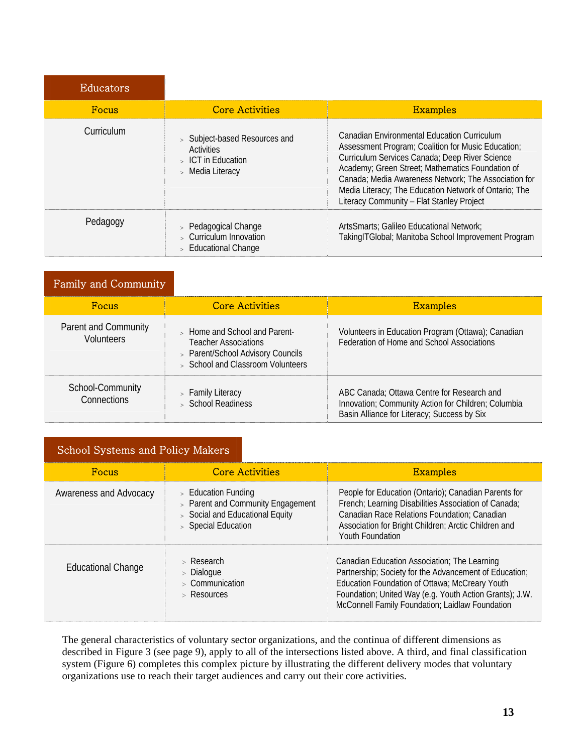| <b>Educators</b> |                                                                                                 |                                                                                                                                                                                                                                                                                                                                                                       |
|------------------|-------------------------------------------------------------------------------------------------|-----------------------------------------------------------------------------------------------------------------------------------------------------------------------------------------------------------------------------------------------------------------------------------------------------------------------------------------------------------------------|
| <b>Focus</b>     | <b>Core Activities</b>                                                                          | <b>Examples</b>                                                                                                                                                                                                                                                                                                                                                       |
| Curriculum       | > Subject-based Resources and<br><b>Activities</b><br>$\,$ ICT in Education<br>> Media Literacy | Canadian Environmental Education Curriculum<br>Assessment Program; Coalition for Music Education;<br>Curriculum Services Canada; Deep River Science<br>Academy; Green Street; Mathematics Foundation of<br>Canada; Media Awareness Network; The Association for<br>Media Literacy; The Education Network of Ontario; The<br>Literacy Community - Flat Stanley Project |
| Pedagogy         | > Pedagogical Change<br>> Curriculum Innovation<br><b>Educational Change</b>                    | ArtsSmarts; Galileo Educational Network;<br>TakingITGlobal; Manitoba School Improvement Program                                                                                                                                                                                                                                                                       |

| Family and Community                      |                                                                                                                                        |                                                                                                                                                  |
|-------------------------------------------|----------------------------------------------------------------------------------------------------------------------------------------|--------------------------------------------------------------------------------------------------------------------------------------------------|
| <b>Focus</b>                              | <b>Core Activities</b>                                                                                                                 | <b>Examples</b>                                                                                                                                  |
| Parent and Community<br><b>Volunteers</b> | > Home and School and Parent-<br><b>Teacher Associations</b><br>> Parent/School Advisory Councils<br>> School and Classroom Volunteers | Volunteers in Education Program (Ottawa); Canadian<br>Federation of Home and School Associations                                                 |
| School-Community<br>Connections           | > Family Literacy<br>> School Readiness                                                                                                | ABC Canada: Ottawa Centre for Research and<br>Innovation; Community Action for Children; Columbia<br>Basin Alliance for Literacy; Success by Six |

| <b>Focus</b>              | <b>Core Activities</b>                                                                                               | <b>Examples</b>                                                                                                                                                                                                                                                        |
|---------------------------|----------------------------------------------------------------------------------------------------------------------|------------------------------------------------------------------------------------------------------------------------------------------------------------------------------------------------------------------------------------------------------------------------|
| Awareness and Advocacy    | $>$ Education Funding<br>> Parent and Community Engagement<br>> Social and Educational Equity<br>> Special Education | People for Education (Ontario); Canadian Parents for<br>French; Learning Disabilities Association of Canada;<br>Canadian Race Relations Foundation; Canadian<br>Association for Bright Children; Arctic Children and<br>Youth Foundation                               |
| <b>Educational Change</b> | $>$ Research<br>> Dialogue<br>$>$ Communication<br>$>$ Resources                                                     | Canadian Education Association; The Learning<br>Partnership; Society for the Advancement of Education;<br>Education Foundation of Ottawa; McCreary Youth<br>Foundation; United Way (e.g. Youth Action Grants); J.W.<br>McConnell Family Foundation; Laidlaw Foundation |

The general characteristics of voluntary sector organizations, and the continua of different dimensions as described in Figure 3 (see page 9), apply to all of the intersections listed above. A third, and final classification system (Figure 6) completes this complex picture by illustrating the different delivery modes that voluntary organizations use to reach their target audiences and carry out their core activities.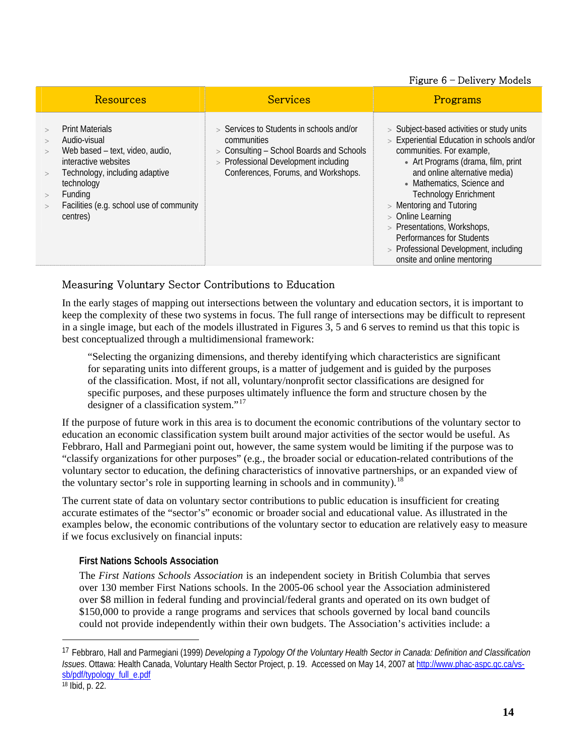#### Figure 6 – Delivery Models

| Resources                                                                                                                                                                                                            | <b>Services</b>                                                                                                                                                                      | Programs                                                                                                                                                                                                                                                                                                                                                                                                                                         |
|----------------------------------------------------------------------------------------------------------------------------------------------------------------------------------------------------------------------|--------------------------------------------------------------------------------------------------------------------------------------------------------------------------------------|--------------------------------------------------------------------------------------------------------------------------------------------------------------------------------------------------------------------------------------------------------------------------------------------------------------------------------------------------------------------------------------------------------------------------------------------------|
| <b>Print Materials</b><br>Audio-visual<br>Web based - text, video, audio,<br>interactive websites<br>Technology, including adaptive<br>technology<br>Funding<br>Facilities (e.g. school use of community<br>centres) | $>$ Services to Students in schools and/or<br>communities<br>> Consulting – School Boards and Schools<br>> Professional Development including<br>Conferences, Forums, and Workshops. | > Subject-based activities or study units<br>> Experiential Education in schools and/or<br>communities. For example,<br>• Art Programs (drama, film, print<br>and online alternative media)<br>• Mathematics, Science and<br><b>Technology Enrichment</b><br>$>$ Mentoring and Tutoring<br>> Online Learning<br>> Presentations, Workshops,<br>Performances for Students<br>> Professional Development, including<br>onsite and online mentoring |

#### Measuring Voluntary Sector Contributions to Education

In the early stages of mapping out intersections between the voluntary and education sectors, it is important to keep the complexity of these two systems in focus. The full range of intersections may be difficult to represent in a single image, but each of the models illustrated in Figures 3, 5 and 6 serves to remind us that this topic is best conceptualized through a multidimensional framework:

"Selecting the organizing dimensions, and thereby identifying which characteristics are significant for separating units into different groups, is a matter of judgement and is guided by the purposes of the classification. Most, if not all, voluntary/nonprofit sector classifications are designed for specific purposes, and these purposes ultimately influence the form and structure chosen by the designer of a classification system."<sup>[17](#page-18-0)</sup>

If the purpose of future work in this area is to document the economic contributions of the voluntary sector to education an economic classification system built around major activities of the sector would be useful. As Febbraro, Hall and Parmegiani point out, however, the same system would be limiting if the purpose was to "classify organizations for other purposes" (e.g., the broader social or education-related contributions of the voluntary sector to education, the defining characteristics of innovative partnerships, or an expanded view of the voluntary sector's role in supporting learning in schools and in community).<sup>[18](#page-18-1)</sup>

The current state of data on voluntary sector contributions to public education is insufficient for creating accurate estimates of the "sector's" economic or broader social and educational value. As illustrated in the examples below, the economic contributions of the voluntary sector to education are relatively easy to measure if we focus exclusively on financial inputs:

#### **First Nations Schools Association**

The *First Nations Schools Association* is an independent society in British Columbia that serves over 130 member First Nations schools. In the 2005-06 school year the Association administered over \$8 million in federal funding and provincial/federal grants and operated on its own budget of \$150,000 to provide a range programs and services that schools governed by local band councils could not provide independently within their own budgets. The Association's activities include: a

 $\overline{a}$ 

<span id="page-18-1"></span><span id="page-18-0"></span><sup>17</sup> Febbraro, Hall and Parmegiani (1999) *Developing a Typology Of the Voluntary Health Sector in Canada: Definition and Classification Issues*. Ottawa: Health Canada, Voluntary Health Sector Project, p. 19. Accessed on May 14, 2007 at [http://www.phac-aspc.gc.ca/vs](http://www.phac-aspc.gc.ca/vs-sb/pdf/typology_full_e.pdf)[sb/pdf/typology\\_full\\_e.pdf](http://www.phac-aspc.gc.ca/vs-sb/pdf/typology_full_e.pdf)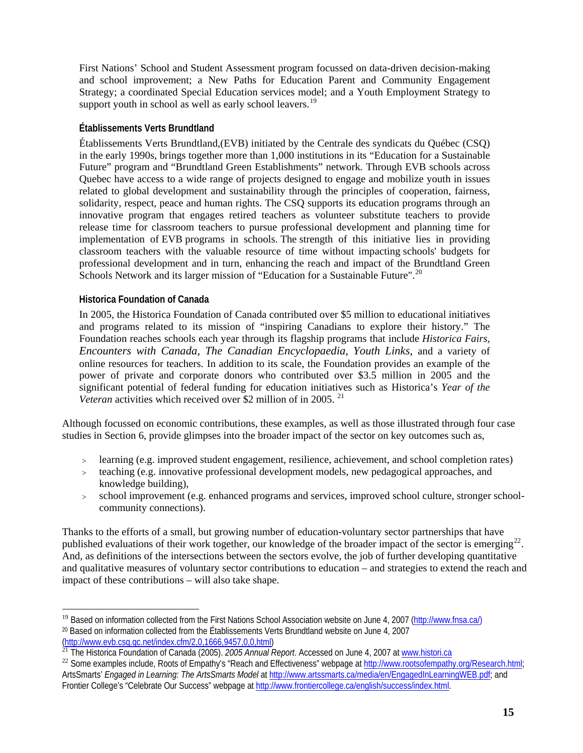First Nations' School and Student Assessment program focussed on data-driven decision-making and school improvement; a New Paths for Education Parent and Community Engagement Strategy; a coordinated Special Education services model; and a Youth Employment Strategy to support youth in school as well as early school leavers.<sup>[19](#page-19-0)</sup>

#### **Établissements Verts Brundtland**

Établissements Verts Brundtland, (EVB) initiated by the Centrale des syndicats du Québec (CSQ) in the early 1990s, brings together more than 1,000 institutions in its "Education for a Sustainable Future" program and "Brundtland Green Establishments" network. Through EVB schools across Quebec have access to a wide range of projects designed to engage and mobilize youth in issues related to global development and sustainability through the principles of cooperation, fairness, solidarity, respect, peace and human rights. The CSQ supports its education programs through an innovative program that engages retired teachers as volunteer substitute teachers to provide release time for classroom teachers to pursue professional development and planning time for implementation of EVB programs in schools. The strength of this initiative lies in providing classroom teachers with the valuable resource of time without impacting schools' budgets for professional development and in turn, enhancing the reach and impact of the Brundtland Green Schools Network and its larger mission of "Education for a Sustainable Future".<sup>[20](#page-19-1)</sup>

#### **Historica Foundation of Canada**

 $\overline{a}$ 

In 2005, the Historica Foundation of Canada contributed over \$5 million to educational initiatives and programs related to its mission of "inspiring Canadians to explore their history." The Foundation reaches schools each year through its flagship programs that include *Historica Fairs, Encounters with Canada, The Canadian Encyclopaedia, Youth Links*, and a variety of online resources for teachers. In addition to its scale, the Foundation provides an example of the power of private and corporate donors who contributed over \$3.5 million in 2005 and the significant potential of federal funding for education initiatives such as Historica's *Year of the Veteran activities which received over \$2 million of in 2005.*<sup>[21](#page-19-2)</sup>

Although focussed on economic contributions, these examples, as well as those illustrated through four case studies in Section 6, provide glimpses into the broader impact of the sector on key outcomes such as,

- > learning (e.g. improved student engagement, resilience, achievement, and school completion rates)
- > teaching (e.g. innovative professional development models, new pedagogical approaches, and knowledge building),
- > school improvement (e.g. enhanced programs and services, improved school culture, stronger schoolcommunity connections).

Thanks to the efforts of a small, but growing number of education-voluntary sector partnerships that have published evaluations of their work together, our knowledge of the broader impact of the sector is emerging<sup>22</sup>. and qualitative measures of voluntary sector contributions to education – and strategies to extend the reach and And, as definitions of the intersections between the sectors evolve, the job of further developing quantitative impact of these contributions – will also take shape.

<span id="page-19-1"></span><span id="page-19-0"></span><sup>&</sup>lt;sup>19</sup> Based on information collected from the First Nations School Association website on June 4, 2007 (http://www.fnsa.ca/) <sup>20</sup> Based on information collected from the Établissements Verts Brundtland website on June 4, 2007<br>(http://www.evb.csq.gc.net/index.cfm/2,0,1666,9457,0,0,html)

<span id="page-19-2"></span><sup>&</sup>lt;sup>21</sup> The Historica Foundation of Canada (2005). *2005 Annual Report*. Accessed on June 4, 2007 at [www.histori.ca](http://www.histori.ca/)

<sup>&</sup>lt;sup>22</sup> Some examples include, Roots of Empathy's "Reach and Effectiveness" webpage at http://www.rootsofempathy.org/Research.html; ArtsSmarts' *Engaged in Learning: The ArtsSmarts Model* at<http://www.artssmarts.ca/media/en/EngagedInLearningWEB.pdf>; and Frontier College's "Celebrate Our Success" webpage at [http://www.frontiercollege.ca/english/success/index.html.](http://www.frontiercollege.ca/english/success/index.html)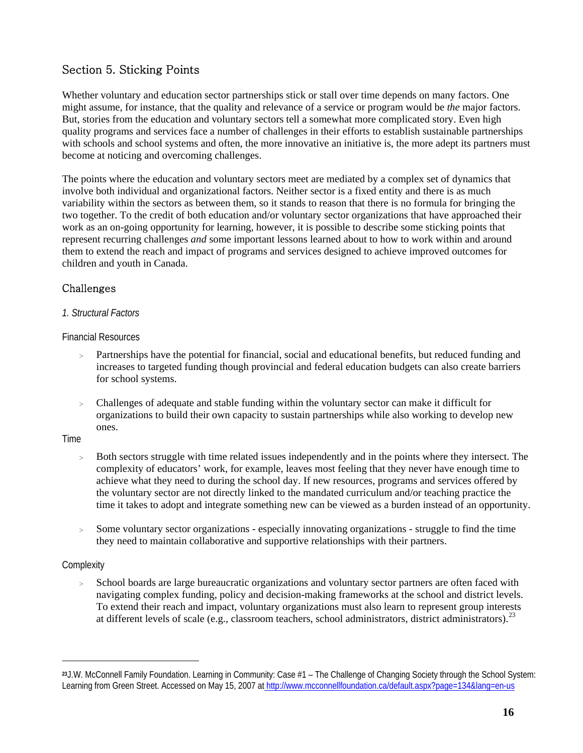# <span id="page-20-0"></span>Section 5. Sticking Points

Whether voluntary and education sector partnerships stick or stall over time depends on many factors. One might assume, for instance, that the quality and relevance of a service or program would be *the* major factors. But, stories from the education and voluntary sectors tell a somewhat more complicated story. Even high quality programs and services face a number of challenges in their efforts to establish sustainable partnerships with schools and school systems and often, the more innovative an initiative is, the more adept its partners must become at noticing and overcoming challenges.

The points where the education and voluntary sectors meet are mediated by a complex set of dynamics that involve both individual and organizational factors. Neither sector is a fixed entity and there is as much variability within the sectors as between them, so it stands to reason that there is no formula for bringing the two together. To the credit of both education and/or voluntary sector organizations that have approached their work as an on-going opportunity for learning, however, it is possible to describe some sticking points that represent recurring challenges *and* some important lessons learned about to how to work within and around them to extend the reach and impact of programs and services designed to achieve improved outcomes for children and youth in Canada.

# Challenges

#### *1. Structural Factors*

Financial Resources

- Partnerships have the potential for financial, social and educational benefits, but reduced funding and increases to targeted funding though provincial and federal education budgets can also create barriers for school systems.
- > Challenges of adequate and stable funding within the voluntary sector can make it difficult for organizations to build their own capacity to sustain partnerships while also working to develop new ones.

#### Time

- > Both sectors struggle with time related issues independently and in the points where they intersect. The complexity of educators' work, for example, leaves most feeling that they never have enough time to achieve what they need to during the school day. If new resources, programs and services offered by the voluntary sector are not directly linked to the mandated curriculum and/or teaching practice the time it takes to adopt and integrate something new can be viewed as a burden instead of an opportunity.
- > Some voluntary sector organizations especially innovating organizations struggle to find the time they need to maintain collaborative and supportive relationships with their partners.

#### **Complexity**

 $\overline{a}$ 

> School boards are large bureaucratic organizations and voluntary sector partners are often faced with navigating complex funding, policy and decision-making frameworks at the school and district levels. To extend their reach and impact, voluntary organizations must also learn to represent group interests at different levels of scale (e.g., classroom teachers, school administrators, district administrators).<sup>[23](#page-20-1)</sup>

<span id="page-20-1"></span>**<sup>23</sup>**J.W. McConnell Family Foundation. Learning in Community: Case #1 – The Challenge of Changing Society through the School System: Learning from Green Street. Accessed on May 15, 2007 at http://www.mcconnellfoundation.ca/default.aspx?page=134&lang=en-us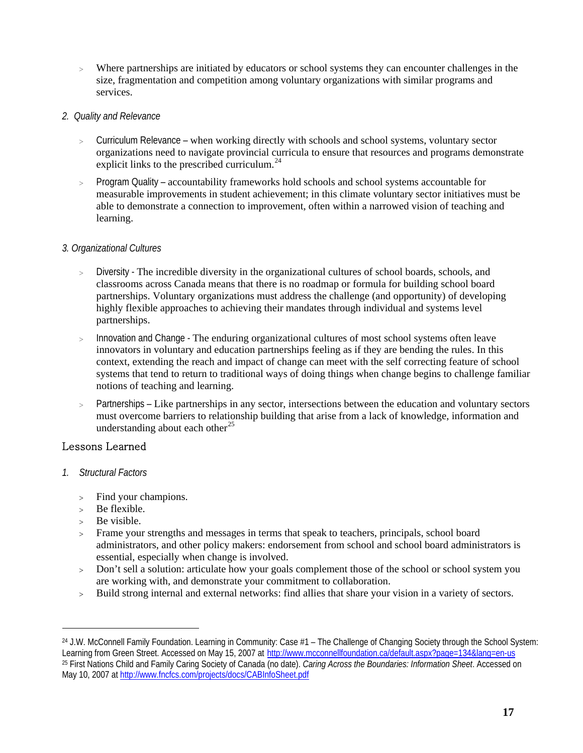> Where partnerships are initiated by educators or school systems they can encounter challenges in the size, fragmentation and competition among voluntary organizations with similar programs and services.

#### *2. Quality and Relevance*

- > Curriculum Relevance when working directly with schools and school systems, voluntary sector organizations need to navigate provincial curricula to ensure that resources and programs demonstrate explicit links to the prescribed curriculum. $^{24}$  $^{24}$  $^{24}$
- > Program Quality accountability frameworks hold schools and school systems accountable for measurable improvements in student achievement; in this climate voluntary sector initiatives must be able to demonstrate a connection to improvement, often within a narrowed vision of teaching and learning.

#### *3. Organizational Cultures*

- > Diversity The incredible diversity in the organizational cultures of school boards, schools, and classrooms across Canada means that there is no roadmap or formula for building school board partnerships. Voluntary organizations must address the challenge (and opportunity) of developing highly flexible approaches to achieving their mandates through individual and systems level partnerships.
- > Innovation and Change The enduring organizational cultures of most school systems often leave innovators in voluntary and education partnerships feeling as if they are bending the rules. In this context, extending the reach and impact of change can meet with the self correcting feature of school systems that tend to return to traditional ways of doing things when change begins to challenge familiar notions of teaching and learning.
- > Partnerships Like partnerships in any sector, intersections between the education and voluntary sectors must overcome barriers to relationship building that arise from a lack of knowledge, information and understanding about each other<sup>[25](#page-21-1)</sup>

## Lessons Learned

- *1. Structural Factors* 
	- > Find your champions.
	- > Be flexible.
	- Be visible.

 $\overline{a}$ 

- > Frame your strengths and messages in terms that speak to teachers, principals, school board administrators, and other policy makers: endorsement from school and school board administrators is essential, especially when change is involved.
- > Don't sell a solution: articulate how your goals complement those of the school or school system you are working with, and demonstrate your commitment to collaboration.
- > Build strong internal and external networks: find allies that share your vision in a variety of sectors.

<span id="page-21-1"></span><span id="page-21-0"></span><sup>&</sup>lt;sup>24</sup> J.W. McConnell Family Foundation. Learning in Community: Case #1 – The Challenge of Changing Society through the School System: Learning from Green Street. Accessed on May 15, 2007 at http://www.mcconnellfoundation.ca/default.aspx?page=134&lang=en-us 25 First Nations Child and Family Caring Society of Canada (no date). *Caring Across the Boundaries: Information Sheet*. Accessed on May 10, 2007 at <http://www.fncfcs.com/projects/docs/CABInfoSheet.pdf>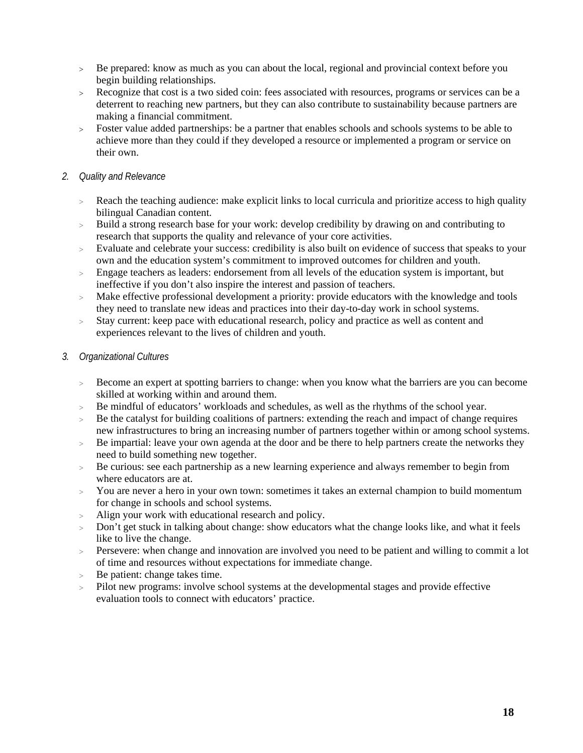- > Be prepared: know as much as you can about the local, regional and provincial context before you begin building relationships.
- > Recognize that cost is a two sided coin: fees associated with resources, programs or services can be a deterrent to reaching new partners, but they can also contribute to sustainability because partners are making a financial commitment.
- > Foster value added partnerships: be a partner that enables schools and schools systems to be able to achieve more than they could if they developed a resource or implemented a program or service on their own.

#### *2. Quality and Relevance*

- > Reach the teaching audience: make explicit links to local curricula and prioritize access to high quality bilingual Canadian content.
- > Build a strong research base for your work: develop credibility by drawing on and contributing to research that supports the quality and relevance of your core activities.
- > Evaluate and celebrate your success: credibility is also built on evidence of success that speaks to your own and the education system's commitment to improved outcomes for children and youth.
- > Engage teachers as leaders: endorsement from all levels of the education system is important, but ineffective if you don't also inspire the interest and passion of teachers.
- > Make effective professional development a priority: provide educators with the knowledge and tools they need to translate new ideas and practices into their day-to-day work in school systems.
- > Stay current: keep pace with educational research, policy and practice as well as content and experiences relevant to the lives of children and youth.

#### *3. Organizational Cultures*

- > Become an expert at spotting barriers to change: when you know what the barriers are you can become skilled at working within and around them.
- > Be mindful of educators' workloads and schedules, as well as the rhythms of the school year.
- Be the catalyst for building coalitions of partners: extending the reach and impact of change requires new infrastructures to bring an increasing number of partners together within or among school systems.
- $\geq$ Be impartial: leave your own agenda at the door and be there to help partners create the networks they need to build something new together.
- > Be curious: see each partnership as a new learning experience and always remember to begin from where educators are at.
- > You are never a hero in your own town: sometimes it takes an external champion to build momentum for change in schools and school systems.
- > Align your work with educational research and policy.
- > Don't get stuck in talking about change: show educators what the change looks like, and what it feels like to live the change.
- > Persevere: when change and innovation are involved you need to be patient and willing to commit a lot of time and resources without expectations for immediate change.
- $\rightarrow$ Be patient: change takes time.
- > Pilot new programs: involve school systems at the developmental stages and provide effective evaluation tools to connect with educators' practice.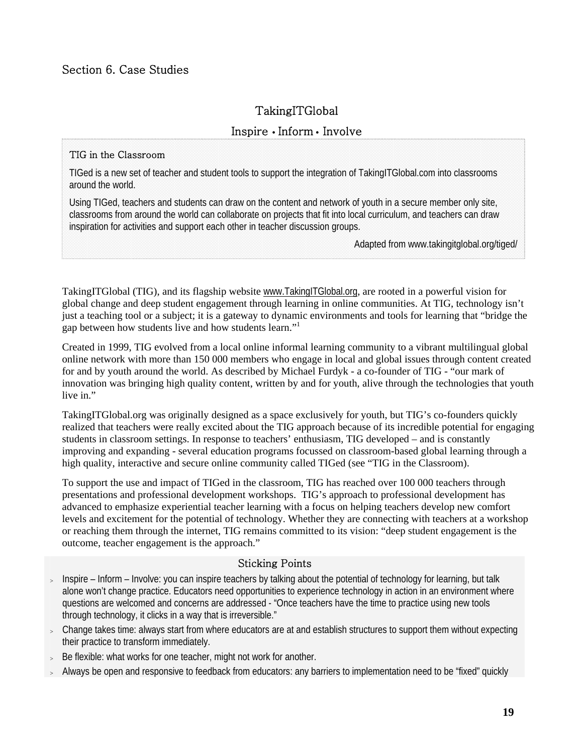# <span id="page-23-0"></span>Section 6. Case Studies

# TakingITGlobal

## Inspire • Inform • Involve

#### TIG in the Classroom

TIGed is a new set of teacher and student tools to support the integration of TakingITGlobal.com into classrooms around the world.

Using TIGed, teachers and students can draw on the content and network of youth in a secure member only site, classrooms from around the world can collaborate on projects that fit into local curriculum, and teachers can draw inspiration for activities and support each other in teacher discussion groups.

Adapted from www.takingitglobal.org/tiged/

TakingITGlobal (TIG), and its flagship website [www.TakingITGlobal.org](http://www.takingitglobal.org/), are rooted in a powerful vision for global change and deep student engagement through learning in online communities. At TIG, technology isn't just a teaching tool or a subject; it is a gateway to dynamic environments and tools for learning that "bridge the gap between how students live and how students learn."1

Created in 1999, TIG evolved from a local online informal learning community to a vibrant multilingual global online network with more than 150 000 members who engage in local and global issues through content created for and by youth around the world. As described by Michael Furdyk - a co-founder of TIG - "our mark of innovation was bringing high quality content, written by and for youth, alive through the technologies that youth live in"

TakingITGlobal.org was originally designed as a space exclusively for youth, but TIG's co-founders quickly realized that teachers were really excited about the TIG approach because of its incredible potential for engaging students in classroom settings. In response to teachers' enthusiasm, TIG developed – and is constantly improving and expanding - several education programs focussed on classroom-based global learning through a high quality, interactive and secure online community called TIGed (see "TIG in the Classroom).

To support the use and impact of TIGed in the classroom, TIG has reached over 100 000 teachers through presentations and professional development workshops. TIG's approach to professional development has advanced to emphasize experiential teacher learning with a focus on helping teachers develop new comfort levels and excitement for the potential of technology. Whether they are connecting with teachers at a workshop or reaching them through the internet, TIG remains committed to its vision: "deep student engagement is the outcome, teacher engagement is the approach."

#### Sticking Points

- $>$  Inspire Inform Involve: you can inspire teachers by talking about the potential of technology for learning, but talk alone won't change practice. Educators need opportunities to experience technology in action in an environment where questions are welcomed and concerns are addressed - "Once teachers have the time to practice using new tools through technology, it clicks in a way that is irreversible."
- > Change takes time: always start from where educators are at and establish structures to support them without expecting their practice to transform immediately.
- Be flexible: what works for one teacher, might not work for another.
- <sup>&</sup>gt; Always be open and responsive to feedback from educators: any barriers to implementation need to be "fixed" quickly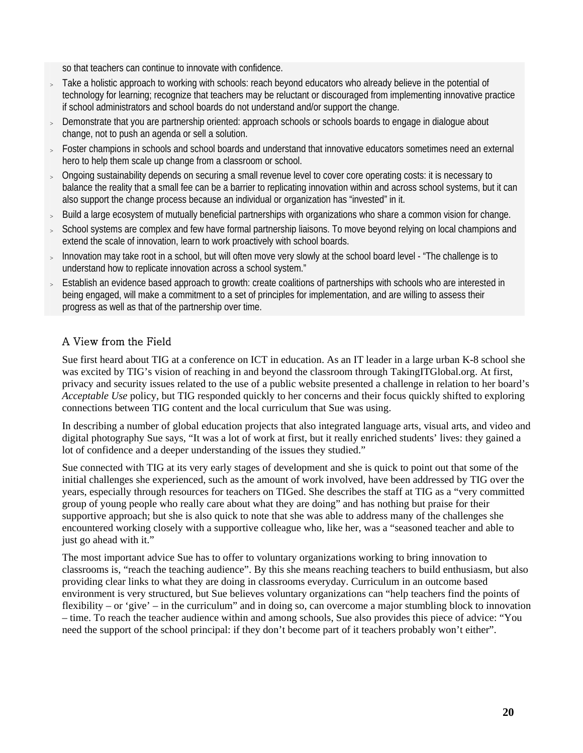so that teachers can continue to innovate with confidence.

- > Take a holistic approach to working with schools: reach beyond educators who already believe in the potential of technology for learning; recognize that teachers may be reluctant or discouraged from implementing innovative practice if school administrators and school boards do not understand and/or support the change.
- > Demonstrate that you are partnership oriented: approach schools or schools boards to engage in dialogue about change, not to push an agenda or sell a solution.
- <sup>&</sup>gt; Foster champions in schools and school boards and understand that innovative educators sometimes need an external hero to help them scale up change from a classroom or school.
- > Ongoing sustainability depends on securing a small revenue level to cover core operating costs: it is necessary to balance the reality that a small fee can be a barrier to replicating innovation within and across school systems, but it can also support the change process because an individual or organization has "invested" in it.
- > Build a large ecosystem of mutually beneficial partnerships with organizations who share a common vision for change.
- School systems are complex and few have formal partnership liaisons. To move beyond relying on local champions and extend the scale of innovation, learn to work proactively with school boards.
- <sup>&</sup>gt; Innovation may take root in a school, but will often move very slowly at the school board level "The challenge is to understand how to replicate innovation across a school system."
- > Establish an evidence based approach to growth: create coalitions of partnerships with schools who are interested in being engaged, will make a commitment to a set of principles for implementation, and are willing to assess their progress as well as that of the partnership over time.

# A View from the Field

Sue first heard about TIG at a conference on ICT in education. As an IT leader in a large urban K-8 school she was excited by TIG's vision of reaching in and beyond the classroom through TakingITGlobal.org. At first, privacy and security issues related to the use of a public website presented a challenge in relation to her board's *Acceptable Use* policy, but TIG responded quickly to her concerns and their focus quickly shifted to exploring connections between TIG content and the local curriculum that Sue was using.

In describing a number of global education projects that also integrated language arts, visual arts, and video and digital photography Sue says, "It was a lot of work at first, but it really enriched students' lives: they gained a lot of confidence and a deeper understanding of the issues they studied."

Sue connected with TIG at its very early stages of development and she is quick to point out that some of the initial challenges she experienced, such as the amount of work involved, have been addressed by TIG over the years, especially through resources for teachers on TIGed. She describes the staff at TIG as a "very committed group of young people who really care about what they are doing" and has nothing but praise for their supportive approach; but she is also quick to note that she was able to address many of the challenges she encountered working closely with a supportive colleague who, like her, was a "seasoned teacher and able to just go ahead with it."

The most important advice Sue has to offer to voluntary organizations working to bring innovation to classrooms is, "reach the teaching audience". By this she means reaching teachers to build enthusiasm, but also providing clear links to what they are doing in classrooms everyday. Curriculum in an outcome based environment is very structured, but Sue believes voluntary organizations can "help teachers find the points of flexibility – or 'give' – in the curriculum" and in doing so, can overcome a major stumbling block to innovation – time. To reach the teacher audience within and among schools, Sue also provides this piece of advice: "You need the support of the school principal: if they don't become part of it teachers probably won't either".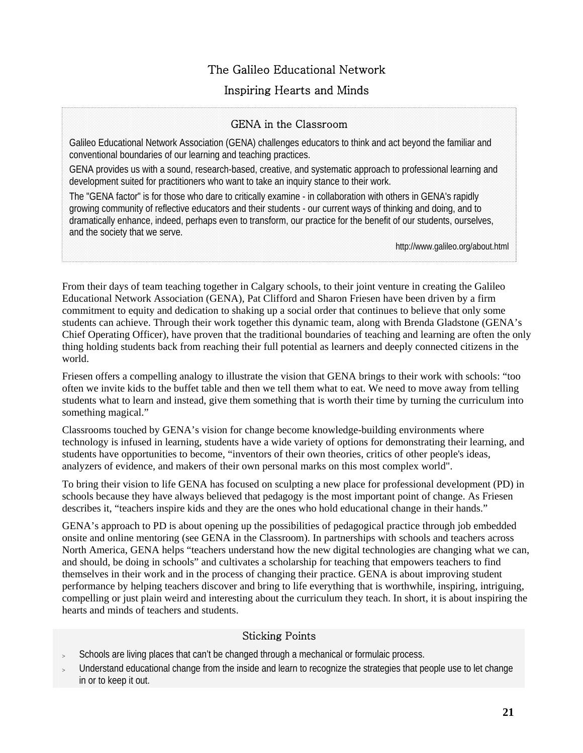# The Galileo Educational Network

# Inspiring Hearts and Minds

# GENA in the Classroom

Galileo Educational Network Association (GENA) challenges educators to think and act beyond the familiar and conventional boundaries of our learning and teaching practices.

GENA provides us with a sound, research-based, creative, and systematic approach to professional learning and development suited for practitioners who want to take an inquiry stance to their work.

The "GENA factor" is for those who dare to critically examine - in collaboration with others in GENA's rapidly growing community of reflective educators and their students - our current ways of thinking and doing, and to dramatically enhance, indeed, perhaps even to transform, our practice for the benefit of our students, ourselves, and the society that we serve.

http://www.galileo.org/about.html

From their days of team teaching together in Calgary schools, to their joint venture in creating the Galileo Educational Network Association (GENA), Pat Clifford and Sharon Friesen have been driven by a firm commitment to equity and dedication to shaking up a social order that continues to believe that only some students can achieve. Through their work together this dynamic team, along with Brenda Gladstone (GENA's Chief Operating Officer), have proven that the traditional boundaries of teaching and learning are often the only thing holding students back from reaching their full potential as learners and deeply connected citizens in the world.

Friesen offers a compelling analogy to illustrate the vision that GENA brings to their work with schools: "too often we invite kids to the buffet table and then we tell them what to eat. We need to move away from telling students what to learn and instead, give them something that is worth their time by turning the curriculum into something magical."

Classrooms touched by GENA's vision for change become knowledge-building environments where technology is infused in learning, students have a wide variety of options for demonstrating their learning, and students have opportunities to become, "inventors of their own theories, critics of other people's ideas, analyzers of evidence, and makers of their own personal marks on this most complex world".

To bring their vision to life GENA has focused on sculpting a new place for professional development (PD) in schools because they have always believed that pedagogy is the most important point of change. As Friesen describes it, "teachers inspire kids and they are the ones who hold educational change in their hands."

GENA's approach to PD is about opening up the possibilities of pedagogical practice through job embedded onsite and online mentoring (see GENA in the Classroom). In partnerships with schools and teachers across North America, GENA helps "teachers understand how the new digital technologies are changing what we can, and should, be doing in schools" and cultivates a scholarship for teaching that empowers teachers to find themselves in their work and in the process of changing their practice. GENA is about improving student performance by helping teachers discover and bring to life everything that is worthwhile, inspiring, intriguing, compelling or just plain weird and interesting about the curriculum they teach. In short, it is about inspiring the hearts and minds of teachers and students.

## Sticking Points

- Schools are living places that can't be changed through a mechanical or formulaic process.
- Understand educational change from the inside and learn to recognize the strategies that people use to let change in or to keep it out.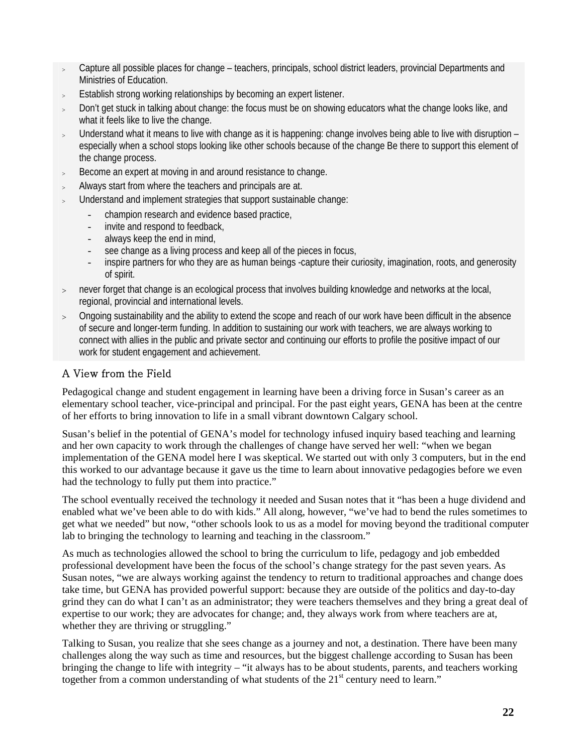- <sup>&</sup>gt; Capture all possible places for change teachers, principals, school district leaders, provincial Departments and Ministries of Education.
- > Establish strong working relationships by becoming an expert listener.
- <sup>&</sup>gt; Don't get stuck in talking about change: the focus must be on showing educators what the change looks like, and what it feels like to live the change.
- <sup>&</sup>gt; Understand what it means to live with change as it is happening: change involves being able to live with disruption especially when a school stops looking like other schools because of the change Be there to support this element of the change process.
- <sup>&</sup>gt; Become an expert at moving in and around resistance to change.
- Always start from where the teachers and principals are at.
- Understand and implement strategies that support sustainable change:
	- champion research and evidence based practice,
	- invite and respond to feedback,
	- always keep the end in mind,
	- see change as a living process and keep all of the pieces in focus,
	- inspire partners for who they are as human beings -capture their curiosity, imagination, roots, and generosity of spirit.
- > never forget that change is an ecological process that involves building knowledge and networks at the local, regional, provincial and international levels.
- $>$  Ongoing sustainability and the ability to extend the scope and reach of our work have been difficult in the absence of secure and longer-term funding. In addition to sustaining our work with teachers, we are always working to connect with allies in the public and private sector and continuing our efforts to profile the positive impact of our work for student engagement and achievement.

# A View from the Field

Pedagogical change and student engagement in learning have been a driving force in Susan's career as an elementary school teacher, vice-principal and principal. For the past eight years, GENA has been at the centre of her efforts to bring innovation to life in a small vibrant downtown Calgary school.

Susan's belief in the potential of GENA's model for technology infused inquiry based teaching and learning and her own capacity to work through the challenges of change have served her well: "when we began implementation of the GENA model here I was skeptical. We started out with only 3 computers, but in the end this worked to our advantage because it gave us the time to learn about innovative pedagogies before we even had the technology to fully put them into practice."

The school eventually received the technology it needed and Susan notes that it "has been a huge dividend and enabled what we've been able to do with kids." All along, however, "we've had to bend the rules sometimes to get what we needed" but now, "other schools look to us as a model for moving beyond the traditional computer lab to bringing the technology to learning and teaching in the classroom."

As much as technologies allowed the school to bring the curriculum to life, pedagogy and job embedded professional development have been the focus of the school's change strategy for the past seven years. As Susan notes, "we are always working against the tendency to return to traditional approaches and change does take time, but GENA has provided powerful support: because they are outside of the politics and day-to-day grind they can do what I can't as an administrator; they were teachers themselves and they bring a great deal of expertise to our work; they are advocates for change; and, they always work from where teachers are at, whether they are thriving or struggling."

Talking to Susan, you realize that she sees change as a journey and not, a destination. There have been many challenges along the way such as time and resources, but the biggest challenge according to Susan has been bringing the change to life with integrity – "it always has to be about students, parents, and teachers working together from a common understanding of what students of the  $21<sup>st</sup>$  century need to learn."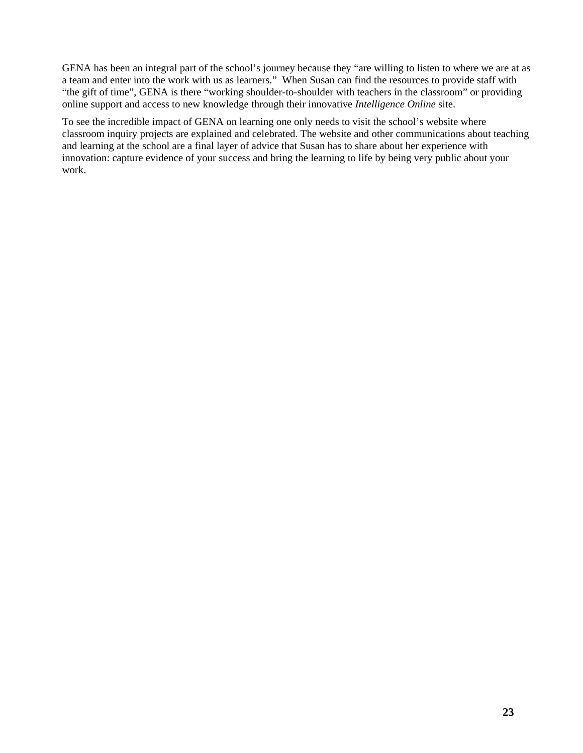GENA has been an integral part of the school's journey because they "are willing to listen to where we are at as a team and enter into the work with us as learners." When Susan can find the resources to provide staff with "the gift of time", GENA is there "working shoulder-to-shoulder with teachers in the classroom" or providing online support and access to new knowledge through their innovative *Intelligence Online* site.

To see the incredible impact of GENA on learning one only needs to visit the school's website where classroom inquiry projects are explained and celebrated. The website and other communications about teaching and learning at the school are a final layer of advice that Susan has to share about her experience with innovation: capture evidence of your success and bring the learning to life by being very public about your work.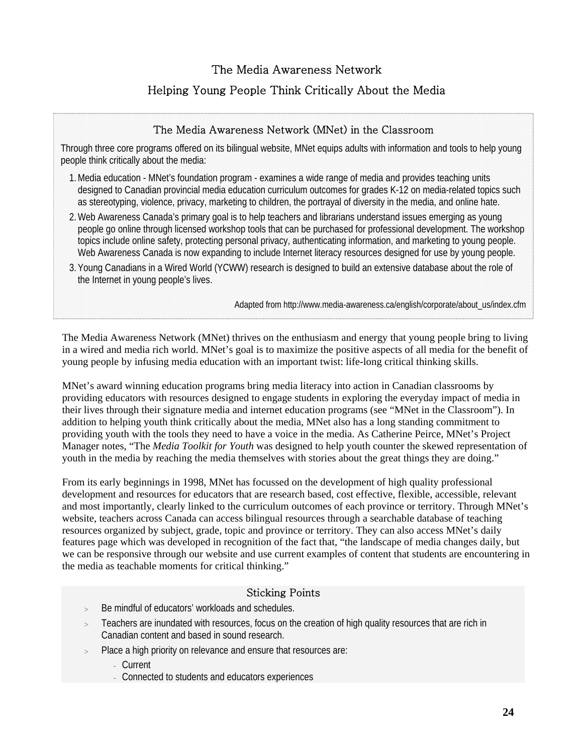# The Media Awareness Network

# Helping Young People Think Critically About the Media

## The Media Awareness Network (MNet) in the Classroom

Through three core programs offered on its bilingual website, MNet equips adults with information and tools to help young people think critically about the media:

- 1.Media education MNet's foundation program examines a wide range of media and provides teaching units designed to Canadian provincial media education curriculum outcomes for grades K-12 on media-related topics such as stereotyping, violence, privacy, marketing to children, the portrayal of diversity in the media, and online hate.
- 2.Web Awareness Canada's primary goal is to help teachers and librarians understand issues emerging as young people go online through licensed workshop tools that can be purchased for professional development. The workshop topics include online safety, protecting personal privacy, authenticating information, and marketing to young people. Web Awareness Canada is now expanding to include Internet literacy resources designed for use by young people.
- 3. Young Canadians in a Wired World (YCWW) research is designed to build an extensive database about the role of the Internet in young people's lives.

Adapted from http://www.media-awareness.ca/english/corporate/about\_us/index.cfm

The Media Awareness Network (MNet) thrives on the enthusiasm and energy that young people bring to living in a wired and media rich world. MNet's goal is to maximize the positive aspects of all media for the benefit of young people by infusing media education with an important twist: life-long critical thinking skills.

MNet's award winning education programs bring media literacy into action in Canadian classrooms by providing educators with resources designed to engage students in exploring the everyday impact of media in their lives through their signature media and internet education programs (see "MNet in the Classroom"). In addition to helping youth think critically about the media, MNet also has a long standing commitment to providing youth with the tools they need to have a voice in the media. As Catherine Peirce, MNet's Project Manager notes, "The *Media Toolkit for Youth* was designed to help youth counter the skewed representation of youth in the media by reaching the media themselves with stories about the great things they are doing."

From its early beginnings in 1998, MNet has focussed on the development of high quality professional development and resources for educators that are research based, cost effective, flexible, accessible, relevant and most importantly, clearly linked to the curriculum outcomes of each province or territory. Through MNet's website, teachers across Canada can access bilingual resources through a searchable database of teaching resources organized by subject, grade, topic and province or territory. They can also access MNet's daily features page which was developed in recognition of the fact that, "the landscape of media changes daily, but we can be responsive through our website and use current examples of content that students are encountering in the media as teachable moments for critical thinking."

## Sticking Points

- Be mindful of educators' workloads and schedules.
- Teachers are inundated with resources, focus on the creation of high quality resources that are rich in Canadian content and based in sound research.
- Place a high priority on relevance and ensure that resources are:
	- Current
	- Connected to students and educators experiences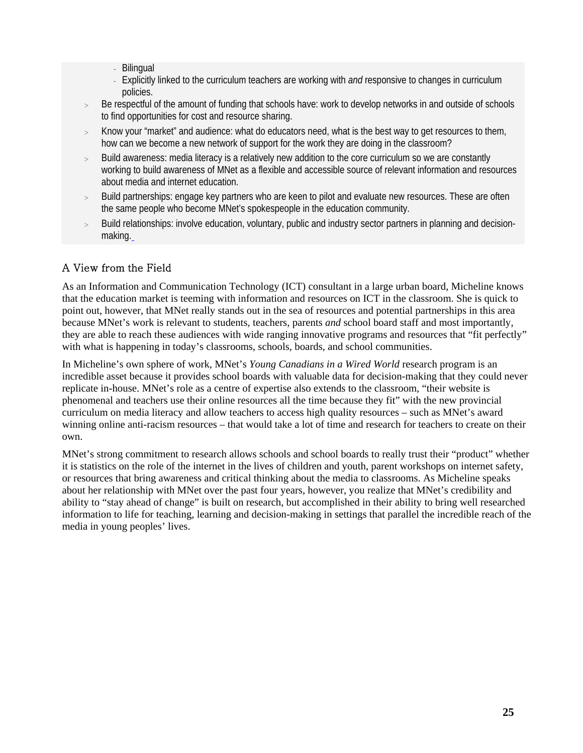- **Bilingual**
- Explicitly linked to the curriculum teachers are working with *and* responsive to changes in curriculum policies.
- Be respectful of the amount of funding that schools have: work to develop networks in and outside of schools to find opportunities for cost and resource sharing.
- > Know your "market" and audience: what do educators need, what is the best way to get resources to them, how can we become a new network of support for the work they are doing in the classroom?
- > Build awareness: media literacy is a relatively new addition to the core curriculum so we are constantly working to build awareness of MNet as a flexible and accessible source of relevant information and resources about media and internet education.
- > Build partnerships: engage key partners who are keen to pilot and evaluate new resources. These are often the same people who become MNet's spokespeople in the education community.
- Build relationships: involve education, voluntary, public and industry sector partners in planning and decisionmaking.

# A View from the Field

As an Information and Communication Technology (ICT) consultant in a large urban board, Micheline knows that the education market is teeming with information and resources on ICT in the classroom. She is quick to point out, however, that MNet really stands out in the sea of resources and potential partnerships in this area because MNet's work is relevant to students, teachers, parents *and* school board staff and most importantly, they are able to reach these audiences with wide ranging innovative programs and resources that "fit perfectly" with what is happening in today's classrooms, schools, boards, and school communities.

In Micheline's own sphere of work, MNet's *Young Canadians in a Wired World* research program is an incredible asset because it provides school boards with valuable data for decision-making that they could never replicate in-house. MNet's role as a centre of expertise also extends to the classroom, "their website is phenomenal and teachers use their online resources all the time because they fit" with the new provincial curriculum on media literacy and allow teachers to access high quality resources – such as MNet's award winning online anti-racism resources – that would take a lot of time and research for teachers to create on their own.

MNet's strong commitment to research allows schools and school boards to really trust their "product" whether it is statistics on the role of the internet in the lives of children and youth, parent workshops on internet safety, or resources that bring awareness and critical thinking about the media to classrooms. As Micheline speaks about her relationship with MNet over the past four years, however, you realize that MNet's credibility and ability to "stay ahead of change" is built on research, but accomplished in their ability to bring well researched information to life for teaching, learning and decision-making in settings that parallel the incredible reach of the media in young peoples' lives.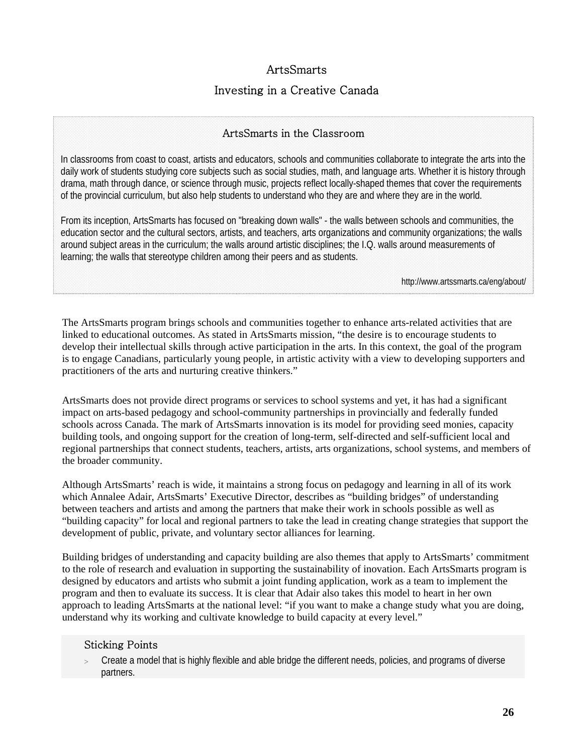# **ArtsSmarts**

# Investing in a Creative Canada

## ArtsSmarts in the Classroom

In classrooms from coast to coast, artists and educators, schools and communities collaborate to integrate the arts into the daily work of students studying core subjects such as social studies, math, and language arts. Whether it is history through drama, math through dance, or science through music, projects reflect locally-shaped themes that cover the requirements of the provincial curriculum, but also help students to understand who they are and where they are in the world.

From its inception, ArtsSmarts has focused on "breaking down walls" - the walls between schools and communities, the education sector and the cultural sectors, artists, and teachers, arts organizations and community organizations; the walls around subject areas in the curriculum; the walls around artistic disciplines; the I.Q. walls around measurements of learning; the walls that stereotype children among their peers and as students.

http://www.artssmarts.ca/eng/about/

The ArtsSmarts program brings schools and communities together to enhance arts-related activities that are linked to educational outcomes. As stated in ArtsSmarts mission, "the desire is to encourage students to develop their intellectual skills through active participation in the arts. In this context, the goal of the program is to engage Canadians, particularly young people, in artistic activity with a view to developing supporters and practitioners of the arts and nurturing creative thinkers."

ArtsSmarts does not provide direct programs or services to school systems and yet, it has had a significant impact on arts-based pedagogy and school-community partnerships in provincially and federally funded schools across Canada. The mark of ArtsSmarts innovation is its model for providing seed monies, capacity building tools, and ongoing support for the creation of long-term, self-directed and self-sufficient local and regional partnerships that connect students, teachers, artists, arts organizations, school systems, and members of the broader community.

Although ArtsSmarts' reach is wide, it maintains a strong focus on pedagogy and learning in all of its work which Annalee Adair, ArtsSmarts' Executive Director, describes as "building bridges" of understanding between teachers and artists and among the partners that make their work in schools possible as well as "building capacity" for local and regional partners to take the lead in creating change strategies that support the development of public, private, and voluntary sector alliances for learning.

Building bridges of understanding and capacity building are also themes that apply to ArtsSmarts' commitment to the role of research and evaluation in supporting the sustainability of inovation. Each ArtsSmarts program is designed by educators and artists who submit a joint funding application, work as a team to implement the program and then to evaluate its success. It is clear that Adair also takes this model to heart in her own approach to leading ArtsSmarts at the national level: "if you want to make a change study what you are doing, understand why its working and cultivate knowledge to build capacity at every level."

#### Sticking Points

Create a model that is highly flexible and able bridge the different needs, policies, and programs of diverse partners.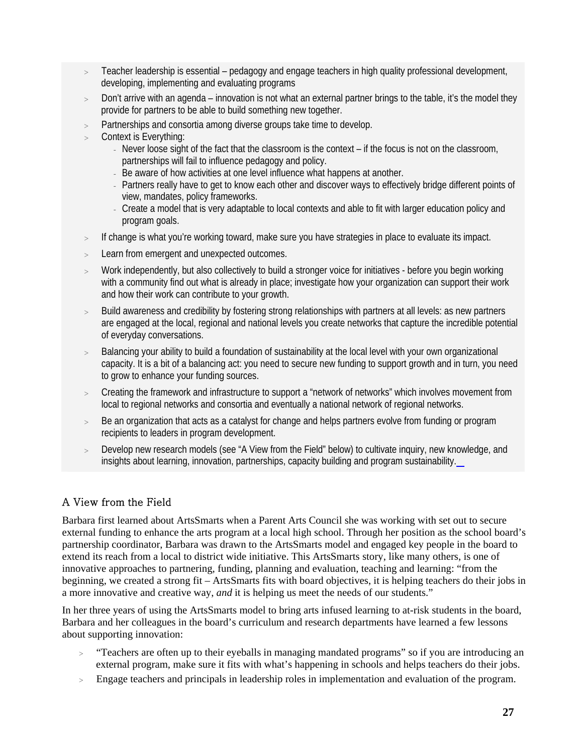- > Teacher leadership is essential pedagogy and engage teachers in high quality professional development, developing, implementing and evaluating programs
- > Don't arrive with an agenda innovation is not what an external partner brings to the table, it's the model they provide for partners to be able to build something new together.
- Partnerships and consortia among diverse groups take time to develop.
- Context is Everything:
	- Never loose sight of the fact that the classroom is the context if the focus is not on the classroom, partnerships will fail to influence pedagogy and policy.
	- Be aware of how activities at one level influence what happens at another.
	- Partners really have to get to know each other and discover ways to effectively bridge different points of view, mandates, policy frameworks.
	- Create a model that is very adaptable to local contexts and able to fit with larger education policy and program goals.
- If change is what you're working toward, make sure you have strategies in place to evaluate its impact.
- > Learn from emergent and unexpected outcomes.
- Work independently, but also collectively to build a stronger voice for initiatives before you begin working with a community find out what is already in place; investigate how your organization can support their work and how their work can contribute to your growth.
- Build awareness and credibility by fostering strong relationships with partners at all levels: as new partners are engaged at the local, regional and national levels you create networks that capture the incredible potential of everyday conversations.
- Balancing your ability to build a foundation of sustainability at the local level with your own organizational capacity. It is a bit of a balancing act: you need to secure new funding to support growth and in turn, you need to grow to enhance your funding sources.
- Creating the framework and infrastructure to support a "network of networks" which involves movement from local to regional networks and consortia and eventually a national network of regional networks.
- > Be an organization that acts as a catalyst for change and helps partners evolve from funding or program recipients to leaders in program development.
- Develop new research models (see "A View from the Field" below) to cultivate inquiry, new knowledge, and insights about learning, innovation, partnerships, capacity building and program sustainability.

# A View from the Field

Barbara first learned about ArtsSmarts when a Parent Arts Council she was working with set out to secure external funding to enhance the arts program at a local high school. Through her position as the school board's partnership coordinator, Barbara was drawn to the ArtsSmarts model and engaged key people in the board to extend its reach from a local to district wide initiative. This ArtsSmarts story, like many others, is one of innovative approaches to partnering, funding, planning and evaluation, teaching and learning: "from the beginning, we created a strong fit – ArtsSmarts fits with board objectives, it is helping teachers do their jobs in a more innovative and creative way, *and* it is helping us meet the needs of our students."

In her three years of using the ArtsSmarts model to bring arts infused learning to at-risk students in the board, Barbara and her colleagues in the board's curriculum and research departments have learned a few lessons about supporting innovation:

- > "Teachers are often up to their eyeballs in managing mandated programs" so if you are introducing an external program, make sure it fits with what's happening in schools and helps teachers do their jobs.
- $\rightarrow$ Engage teachers and principals in leadership roles in implementation and evaluation of the program.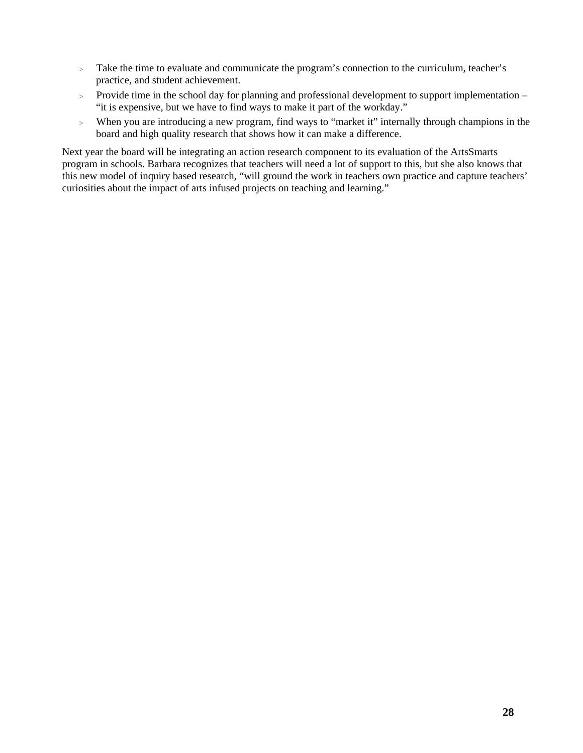- > Take the time to evaluate and communicate the program's connection to the curriculum, teacher's practice, and student achievement.
- > Provide time in the school day for planning and professional development to support implementation "it is expensive, but we have to find ways to make it part of the workday."
- > When you are introducing a new program, find ways to "market it" internally through champions in the board and high quality research that shows how it can make a difference.

Next year the board will be integrating an action research component to its evaluation of the ArtsSmarts program in schools. Barbara recognizes that teachers will need a lot of support to this, but she also knows that this new model of inquiry based research, "will ground the work in teachers own practice and capture teachers' curiosities about the impact of arts infused projects on teaching and learning."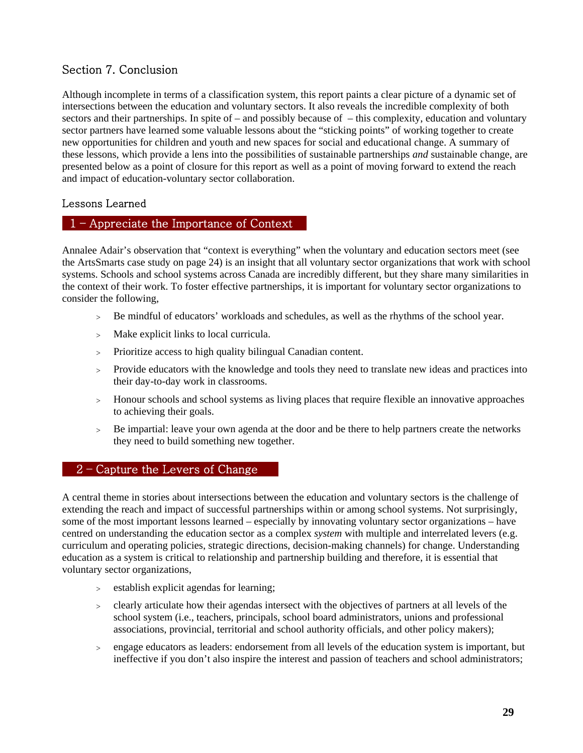# <span id="page-33-0"></span>Section 7. Conclusion

Although incomplete in terms of a classification system, this report paints a clear picture of a dynamic set of intersections between the education and voluntary sectors. It also reveals the incredible complexity of both sectors and their partnerships. In spite of – and possibly because of – this complexity, education and voluntary sector partners have learned some valuable lessons about the "sticking points" of working together to create new opportunities for children and youth and new spaces for social and educational change. A summary of these lessons, which provide a lens into the possibilities of sustainable partnerships *and* sustainable change, are presented below as a point of closure for this report as well as a point of moving forward to extend the reach and impact of education-voluntary sector collaboration.

## Lessons Learned

#### 1 – Appreciate the Importance of Context

Annalee Adair's observation that "context is everything" when the voluntary and education sectors meet (see the ArtsSmarts case study on page 24) is an insight that all voluntary sector organizations that work with school systems. Schools and school systems across Canada are incredibly different, but they share many similarities in the context of their work. To foster effective partnerships, it is important for voluntary sector organizations to consider the following,

- > Be mindful of educators' workloads and schedules, as well as the rhythms of the school year.
- > Make explicit links to local curricula.
- > Prioritize access to high quality bilingual Canadian content.
- > Provide educators with the knowledge and tools they need to translate new ideas and practices into their day-to-day work in classrooms.
- > Honour schools and school systems as living places that require flexible an innovative approaches to achieving their goals.
- Be impartial: leave your own agenda at the door and be there to help partners create the networks they need to build something new together.

## $2$  – Capture the Levers of Change.

A central theme in stories about intersections between the education and voluntary sectors is the challenge of extending the reach and impact of successful partnerships within or among school systems. Not surprisingly, some of the most important lessons learned – especially by innovating voluntary sector organizations – have centred on understanding the education sector as a complex *system* with multiple and interrelated levers (e.g. curriculum and operating policies, strategic directions, decision-making channels) for change. Understanding education as a system is critical to relationship and partnership building and therefore, it is essential that voluntary sector organizations,

- > establish explicit agendas for learning;
- > clearly articulate how their agendas intersect with the objectives of partners at all levels of the school system (i.e., teachers, principals, school board administrators, unions and professional associations, provincial, territorial and school authority officials, and other policy makers);
- > engage educators as leaders: endorsement from all levels of the education system is important, but ineffective if you don't also inspire the interest and passion of teachers and school administrators;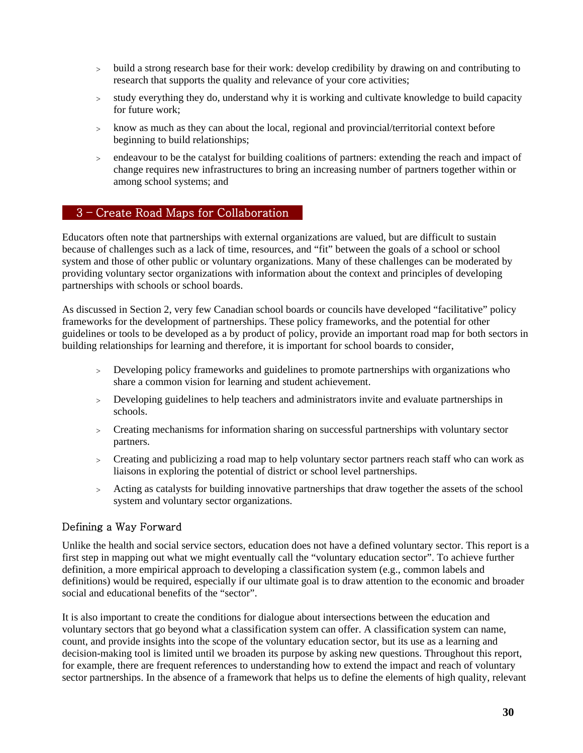- > build a strong research base for their work: develop credibility by drawing on and contributing to research that supports the quality and relevance of your core activities;
- > study everything they do, understand why it is working and cultivate knowledge to build capacity for future work;
- > know as much as they can about the local, regional and provincial/territorial context before beginning to build relationships;
- > endeavour to be the catalyst for building coalitions of partners: extending the reach and impact of change requires new infrastructures to bring an increasing number of partners together within or among school systems; and

#### 3 – Create Road Maps for Collaboration

Educators often note that partnerships with external organizations are valued, but are difficult to sustain because of challenges such as a lack of time, resources, and "fit" between the goals of a school or school system and those of other public or voluntary organizations. Many of these challenges can be moderated by providing voluntary sector organizations with information about the context and principles of developing partnerships with schools or school boards.

As discussed in Section 2, very few Canadian school boards or councils have developed "facilitative" policy frameworks for the development of partnerships. These policy frameworks, and the potential for other guidelines or tools to be developed as a by product of policy, provide an important road map for both sectors in building relationships for learning and therefore, it is important for school boards to consider,

- > Developing policy frameworks and guidelines to promote partnerships with organizations who share a common vision for learning and student achievement.
- > Developing guidelines to help teachers and administrators invite and evaluate partnerships in schools.
- > Creating mechanisms for information sharing on successful partnerships with voluntary sector partners.
- > Creating and publicizing a road map to help voluntary sector partners reach staff who can work as liaisons in exploring the potential of district or school level partnerships.
- > Acting as catalysts for building innovative partnerships that draw together the assets of the school system and voluntary sector organizations.

#### Defining a Way Forward

Unlike the health and social service sectors, education does not have a defined voluntary sector. This report is a first step in mapping out what we might eventually call the "voluntary education sector". To achieve further definition, a more empirical approach to developing a classification system (e.g., common labels and definitions) would be required, especially if our ultimate goal is to draw attention to the economic and broader social and educational benefits of the "sector".

It is also important to create the conditions for dialogue about intersections between the education and voluntary sectors that go beyond what a classification system can offer. A classification system can name, count, and provide insights into the scope of the voluntary education sector, but its use as a learning and decision-making tool is limited until we broaden its purpose by asking new questions. Throughout this report, for example, there are frequent references to understanding how to extend the impact and reach of voluntary sector partnerships. In the absence of a framework that helps us to define the elements of high quality, relevant